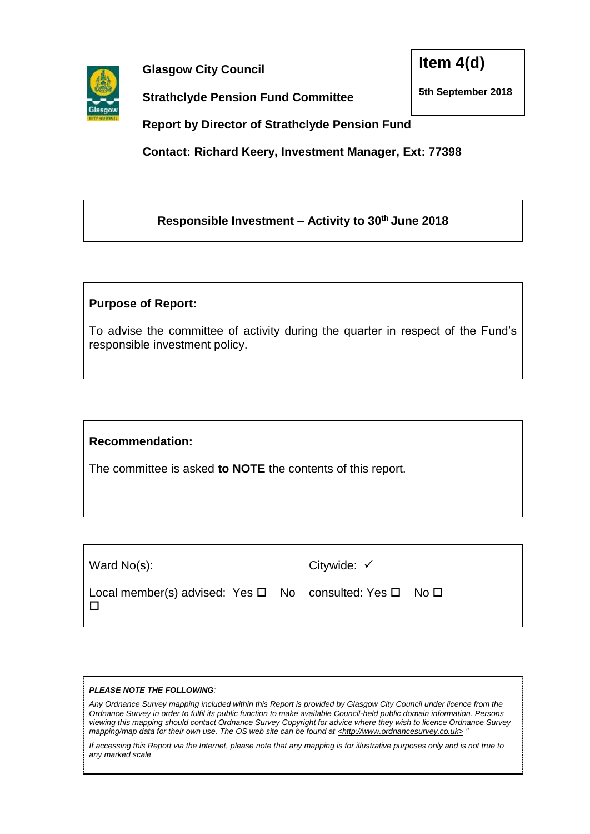

**Glasgow City Council**

**Strathclyde Pension Fund Committee** 

**Item 4(d)**

**5th September 2018**

**Report by Director of Strathclyde Pension Fund**

**Contact: Richard Keery, Investment Manager, Ext: 77398**

## **Responsible Investment – Activity to 30 th June 2018**

## **Purpose of Report:**

To advise the committee of activity during the quarter in respect of the Fund's responsible investment policy.

## **Recommendation:**

The committee is asked **to NOTE** the contents of this report.

| Ward No(s):                                                                     | Citywide: $\checkmark$ |  |
|---------------------------------------------------------------------------------|------------------------|--|
| Local member(s) advised: Yes $\square$ No consulted: Yes $\square$ No $\square$ |                        |  |

#### *PLEASE NOTE THE FOLLOWING:*

*Any Ordnance Survey mapping included within this Report is provided by Glasgow City Council under licence from the Ordnance Survey in order to fulfil its public function to make available Council-held public domain information. Persons viewing this mapping should contact Ordnance Survey Copyright for advice where they wish to licence Ordnance Survey mapping/map data for their own use. The OS web site can be found at <http://www.ordnancesurvey.co.uk> "*

*If accessing this Report via the Internet, please note that any mapping is for illustrative purposes only and is not true to any marked scale*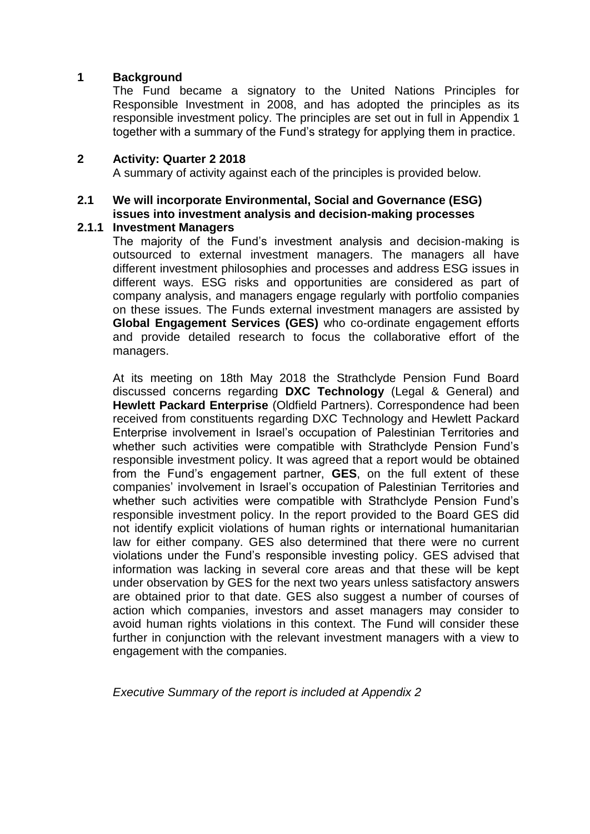## **1 Background**

The Fund became a signatory to the United Nations Principles for Responsible Investment in 2008, and has adopted the principles as its responsible investment policy. The principles are set out in full in Appendix 1 together with a summary of the Fund's strategy for applying them in practice.

## **2 Activity: Quarter 2 2018**

A summary of activity against each of the principles is provided below.

## **2.1 We will incorporate Environmental, Social and Governance (ESG) issues into investment analysis and decision-making processes**

## **2.1.1 Investment Managers**

The majority of the Fund's investment analysis and decision-making is outsourced to external investment managers. The managers all have different investment philosophies and processes and address ESG issues in different ways. ESG risks and opportunities are considered as part of company analysis, and managers engage regularly with portfolio companies on these issues. The Funds external investment managers are assisted by **Global Engagement Services (GES)** who co-ordinate engagement efforts and provide detailed research to focus the collaborative effort of the managers.

At its meeting on 18th May 2018 the Strathclyde Pension Fund Board discussed concerns regarding **DXC Technology** (Legal & General) and **Hewlett Packard Enterprise** (Oldfield Partners). Correspondence had been received from constituents regarding DXC Technology and Hewlett Packard Enterprise involvement in Israel's occupation of Palestinian Territories and whether such activities were compatible with Strathclyde Pension Fund's responsible investment policy. It was agreed that a report would be obtained from the Fund's engagement partner, **GES**, on the full extent of these companies' involvement in Israel's occupation of Palestinian Territories and whether such activities were compatible with Strathclyde Pension Fund's responsible investment policy. In the report provided to the Board GES did not identify explicit violations of human rights or international humanitarian law for either company. GES also determined that there were no current violations under the Fund's responsible investing policy. GES advised that information was lacking in several core areas and that these will be kept under observation by GES for the next two years unless satisfactory answers are obtained prior to that date. GES also suggest a number of courses of action which companies, investors and asset managers may consider to avoid human rights violations in this context. The Fund will consider these further in conjunction with the relevant investment managers with a view to engagement with the companies.

*Executive Summary of the report is included at Appendix 2*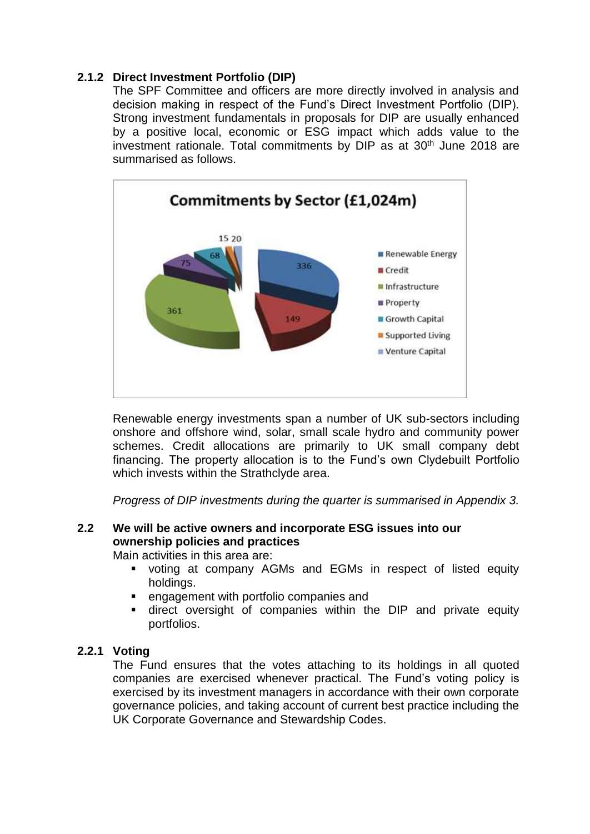## **2.1.2 Direct Investment Portfolio (DIP)**

The SPF Committee and officers are more directly involved in analysis and decision making in respect of the Fund's Direct Investment Portfolio (DIP). Strong investment fundamentals in proposals for DIP are usually enhanced by a positive local, economic or ESG impact which adds value to the investment rationale. Total commitments by DIP as at 30<sup>th</sup> June 2018 are summarised as follows.



Renewable energy investments span a number of UK sub-sectors including onshore and offshore wind, solar, small scale hydro and community power schemes. Credit allocations are primarily to UK small company debt financing. The property allocation is to the Fund's own Clydebuilt Portfolio which invests within the Strathclyde area.

*Progress of DIP investments during the quarter is summarised in Appendix 3.* 

# **2.2 We will be active owners and incorporate ESG issues into our ownership policies and practices**

Main activities in this area are:

- voting at company AGMs and EGMs in respect of listed equity holdings.
- engagement with portfolio companies and
- direct oversight of companies within the DIP and private equity portfolios.

## **2.2.1 Voting**

The Fund ensures that the votes attaching to its holdings in all quoted companies are exercised whenever practical. The Fund's voting policy is exercised by its investment managers in accordance with their own corporate governance policies, and taking account of current best practice including the UK Corporate Governance and Stewardship Codes.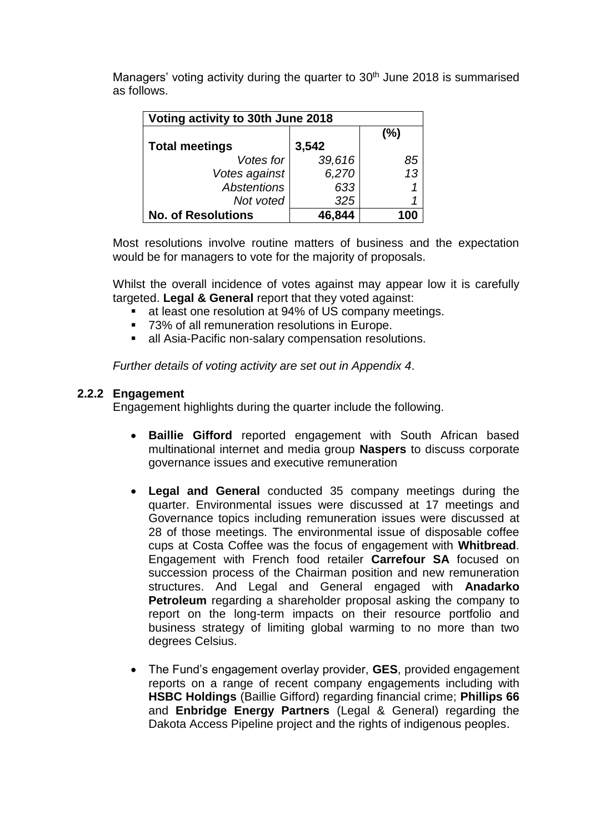Managers' voting activity during the quarter to 30<sup>th</sup> June 2018 is summarised as follows.

| Voting activity to 30th June 2018 |        |      |  |  |
|-----------------------------------|--------|------|--|--|
|                                   |        | (%)  |  |  |
| <b>Total meetings</b>             | 3,542  |      |  |  |
| Votes for                         | 39,616 | 85   |  |  |
| Votes against                     | 6,270  | 13   |  |  |
| <b>Abstentions</b>                | 633    |      |  |  |
| Not voted                         | 325    |      |  |  |
| <b>No. of Resolutions</b>         | 46.844 | IOIO |  |  |

Most resolutions involve routine matters of business and the expectation would be for managers to vote for the majority of proposals.

Whilst the overall incidence of votes against may appear low it is carefully targeted. **Legal & General** report that they voted against:

- at least one resolution at 94% of US company meetings.
- 73% of all remuneration resolutions in Europe.
- all Asia-Pacific non-salary compensation resolutions.

*Further details of voting activity are set out in Appendix 4*.

## **2.2.2 Engagement**

Engagement highlights during the quarter include the following.

- **Baillie Gifford** reported engagement with South African based multinational internet and media group **Naspers** to discuss corporate governance issues and executive remuneration
- **Legal and General** conducted 35 company meetings during the quarter. Environmental issues were discussed at 17 meetings and Governance topics including remuneration issues were discussed at 28 of those meetings. The environmental issue of disposable coffee cups at Costa Coffee was the focus of engagement with **Whitbread**. Engagement with French food retailer **Carrefour SA** focused on succession process of the Chairman position and new remuneration structures. And Legal and General engaged with **Anadarko Petroleum** regarding a shareholder proposal asking the company to report on the long-term impacts on their resource portfolio and business strategy of limiting global warming to no more than two degrees Celsius.
- The Fund's engagement overlay provider, **GES**, provided engagement reports on a range of recent company engagements including with **HSBC Holdings** (Baillie Gifford) regarding financial crime; **Phillips 66** and **Enbridge Energy Partners** (Legal & General) regarding the Dakota Access Pipeline project and the rights of indigenous peoples.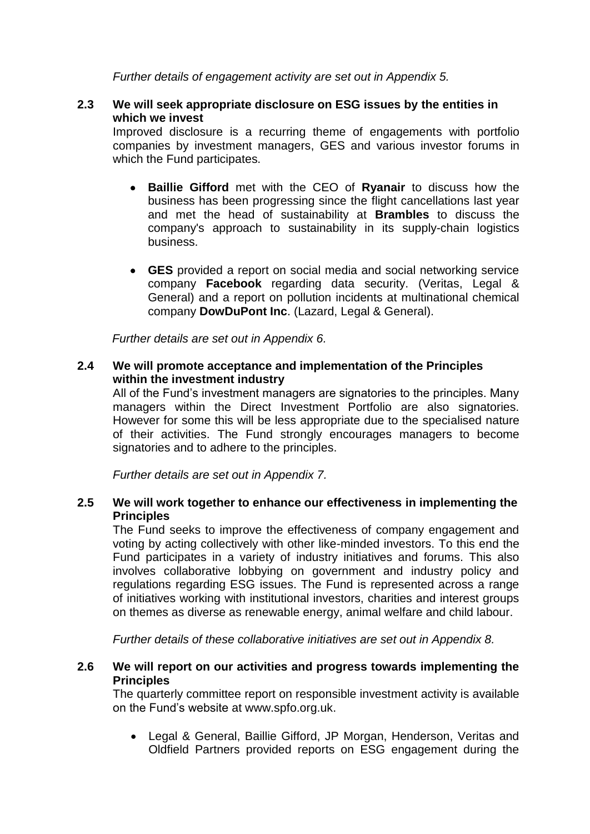*Further details of engagement activity are set out in Appendix 5.* 

## **2.3 We will seek appropriate disclosure on ESG issues by the entities in which we invest**

Improved disclosure is a recurring theme of engagements with portfolio companies by investment managers, GES and various investor forums in which the Fund participates.

- **Baillie Gifford** met with the CEO of **Ryanair** to discuss how the business has been progressing since the flight cancellations last year and met the head of sustainability at **Brambles** to discuss the company's approach to sustainability in its supply-chain logistics business.
- **GES** provided a report on social media and social networking service company **Facebook** regarding data security. (Veritas, Legal & General) and a report on pollution incidents at multinational chemical company **DowDuPont Inc**. (Lazard, Legal & General).

*Further details are set out in Appendix 6.*

## **2.4 We will promote acceptance and implementation of the Principles within the investment industry**

All of the Fund's investment managers are signatories to the principles. Many managers within the Direct Investment Portfolio are also signatories. However for some this will be less appropriate due to the specialised nature of their activities. The Fund strongly encourages managers to become signatories and to adhere to the principles.

*Further details are set out in Appendix 7.*

## **2.5 We will work together to enhance our effectiveness in implementing the Principles**

The Fund seeks to improve the effectiveness of company engagement and voting by acting collectively with other like-minded investors. To this end the Fund participates in a variety of industry initiatives and forums. This also involves collaborative lobbying on government and industry policy and regulations regarding ESG issues. The Fund is represented across a range of initiatives working with institutional investors, charities and interest groups on themes as diverse as renewable energy, animal welfare and child labour.

*Further details of these collaborative initiatives are set out in Appendix 8.* 

## **2.6 We will report on our activities and progress towards implementing the Principles**

The quarterly committee report on responsible investment activity is available on the Fund's website at www.spfo.org.uk.

 Legal & General, Baillie Gifford, JP Morgan, Henderson, Veritas and Oldfield Partners provided reports on ESG engagement during the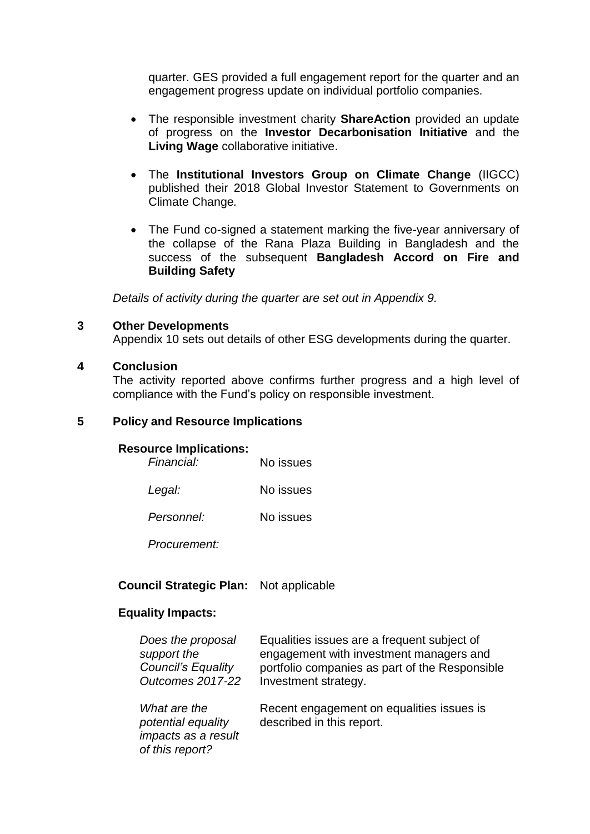quarter. GES provided a full engagement report for the quarter and an engagement progress update on individual portfolio companies.

- The responsible investment charity **ShareAction** provided an update of progress on the **Investor Decarbonisation Initiative** and the **Living Wage** collaborative initiative.
- The **Institutional Investors Group on Climate Change** (IIGCC) published their 2018 Global Investor Statement to Governments on Climate Change*.*
- The Fund co-signed a statement marking the five-year anniversary of the collapse of the Rana Plaza Building in Bangladesh and the success of the subsequent **Bangladesh Accord on Fire and Building Safety**

*Details of activity during the quarter are set out in Appendix 9.*

## **3 Other Developments**

Appendix 10 sets out details of other ESG developments during the quarter.

## **4 Conclusion**

The activity reported above confirms further progress and a high level of compliance with the Fund's policy on responsible investment.

## **5 Policy and Resource Implications**

## **Resource Implications:**

| Financial: | No issues |
|------------|-----------|
| Legal:     | No issues |
| Personnel: | No issues |

*Procurement:*

## **Council Strategic Plan:** Not applicable

## **Equality Impacts:**

| Does the proposal                                                            | Equalities issues are a frequent subject of                            |
|------------------------------------------------------------------------------|------------------------------------------------------------------------|
| support the                                                                  | engagement with investment managers and                                |
| <b>Council's Equality</b>                                                    | portfolio companies as part of the Responsible                         |
| <b>Outcomes 2017-22</b>                                                      | Investment strategy.                                                   |
| What are the<br>potential equality<br>impacts as a result<br>of this report? | Recent engagement on equalities issues is<br>described in this report. |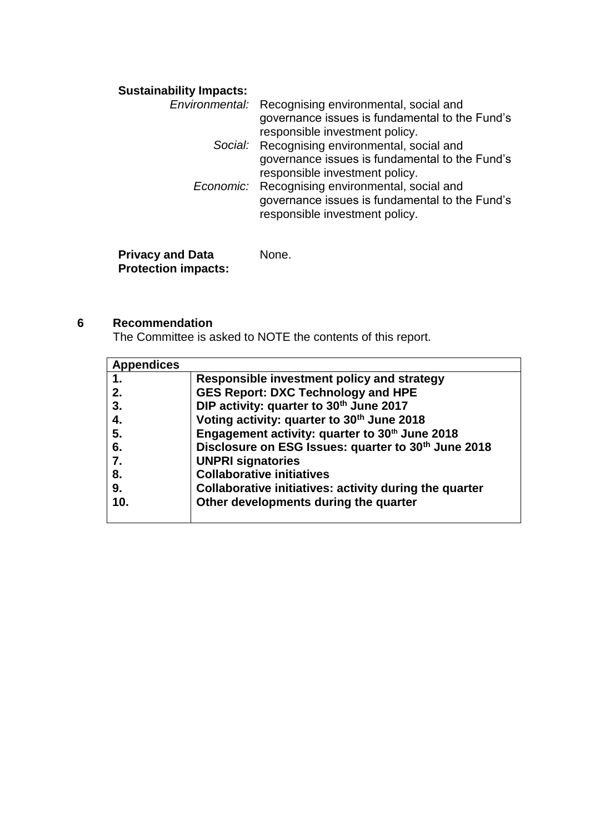# **Sustainability Impacts:**

| Environmental: Recognising environmental, social and<br>governance issues is fundamental to the Fund's<br>responsible investment policy. |
|------------------------------------------------------------------------------------------------------------------------------------------|
| Social: Recognising environmental, social and                                                                                            |
| governance issues is fundamental to the Fund's                                                                                           |
| responsible investment policy.                                                                                                           |
| Economic: Recognising environmental, social and                                                                                          |
| governance issues is fundamental to the Fund's                                                                                           |
| responsible investment policy.                                                                                                           |
|                                                                                                                                          |
|                                                                                                                                          |

**Privacy and Data Protection impacts:** None.

## **6 Recommendation**

The Committee is asked to NOTE the contents of this report.

| <b>Appendices</b> |                                                                 |
|-------------------|-----------------------------------------------------------------|
| $\mathbf{1}$ .    | Responsible investment policy and strategy                      |
| 2.                | <b>GES Report: DXC Technology and HPE</b>                       |
| 3.                | DIP activity: quarter to 30th June 2017                         |
| 4.                | Voting activity: quarter to 30th June 2018                      |
| 5.                | Engagement activity: quarter to 30 <sup>th</sup> June 2018      |
| 6.                | Disclosure on ESG Issues: quarter to 30 <sup>th</sup> June 2018 |
| 7.                | <b>UNPRI signatories</b>                                        |
| 8.                | <b>Collaborative initiatives</b>                                |
| 9.                | Collaborative initiatives: activity during the quarter          |
| 10.               | Other developments during the quarter                           |
|                   |                                                                 |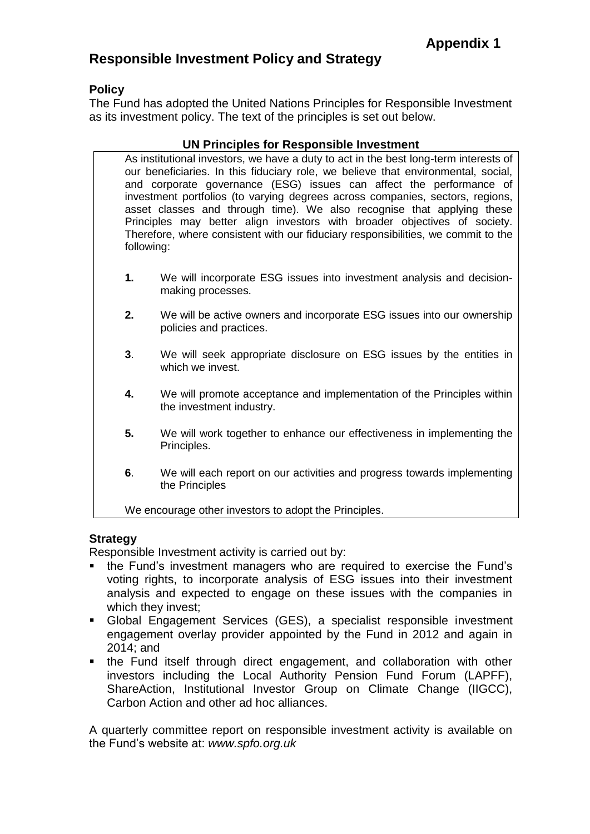# **Responsible Investment Policy and Strategy**

## **Policy**

The Fund has adopted the United Nations Principles for Responsible Investment as its investment policy. The text of the principles is set out below.

## **UN Principles for Responsible Investment**

As institutional investors, we have a duty to act in the best long-term interests of our beneficiaries. In this fiduciary role, we believe that environmental, social, and corporate governance (ESG) issues can affect the performance of investment portfolios (to varying degrees across companies, sectors, regions, asset classes and through time). We also recognise that applying these Principles may better align investors with broader objectives of society. Therefore, where consistent with our fiduciary responsibilities, we commit to the following:

- **1.** We will incorporate ESG issues into investment analysis and decisionmaking processes.
- **2.** We will be active owners and incorporate ESG issues into our ownership policies and practices.
- **3**. We will seek appropriate disclosure on ESG issues by the entities in which we invest.
- **4.** We will promote acceptance and implementation of the Principles within the investment industry.
- **5.** We will work together to enhance our effectiveness in implementing the Principles.
- **6**. We will each report on our activities and progress towards implementing the Principles

We encourage other investors to adopt the Principles.

## **Strategy**

Responsible Investment activity is carried out by:

- the Fund's investment managers who are required to exercise the Fund's voting rights, to incorporate analysis of ESG issues into their investment analysis and expected to engage on these issues with the companies in which they invest;
- Global Engagement Services (GES), a specialist responsible investment engagement overlay provider appointed by the Fund in 2012 and again in 2014; and
- the Fund itself through direct engagement, and collaboration with other investors including the Local Authority Pension Fund Forum (LAPFF), ShareAction, Institutional Investor Group on Climate Change (IIGCC), Carbon Action and other ad hoc alliances.

A quarterly committee report on responsible investment activity is available on the Fund's website at: *www.spfo.org.uk*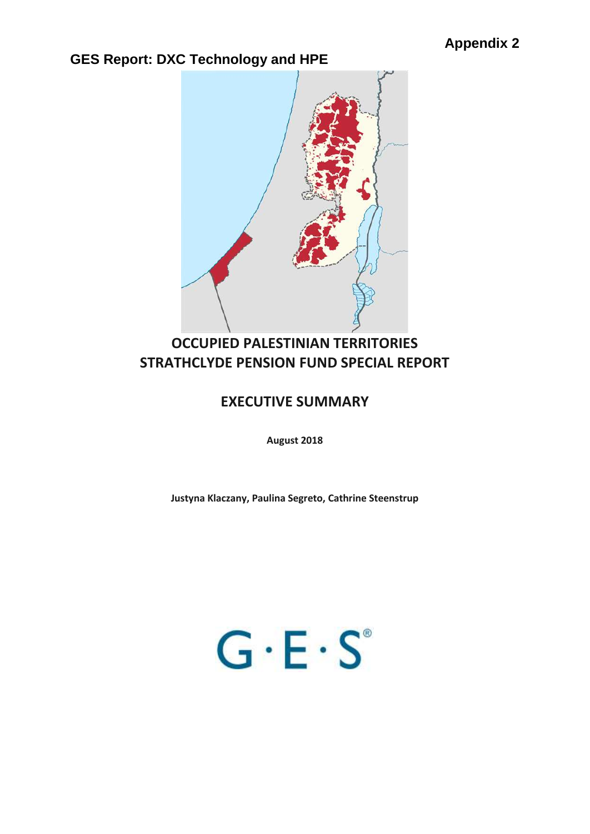

# **OCCUPIED PALESTINIAN TERRITORIES STRATHCLYDE PENSION FUND SPECIAL REPORT**

# **EXECUTIVE SUMMARY**

**August 2018**

**Justyna Klaczany, Paulina Segreto, Cathrine Steenstrup**

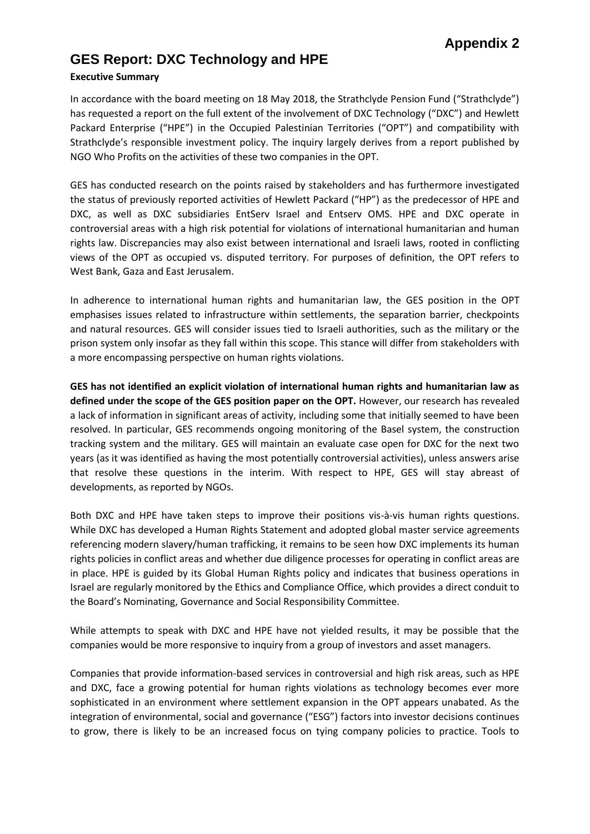#### **Executive Summary**

In accordance with the board meeting on 18 May 2018, the Strathclyde Pension Fund ("Strathclyde") has requested a report on the full extent of the involvement of DXC Technology ("DXC") and Hewlett Packard Enterprise ("HPE") in the Occupied Palestinian Territories ("OPT") and compatibility with Strathclyde's responsible investment policy. The inquiry largely derives from a report published by NGO Who Profits on the activities of these two companies in the OPT.

GES has conducted research on the points raised by stakeholders and has furthermore investigated the status of previously reported activities of Hewlett Packard ("HP") as the predecessor of HPE and DXC, as well as DXC subsidiaries EntServ Israel and Entserv OMS. HPE and DXC operate in controversial areas with a high risk potential for violations of international humanitarian and human rights law. Discrepancies may also exist between international and Israeli laws, rooted in conflicting views of the OPT as occupied vs. disputed territory. For purposes of definition, the OPT refers to West Bank, Gaza and East Jerusalem.

In adherence to international human rights and humanitarian law, the GES position in the OPT emphasises issues related to infrastructure within settlements, the separation barrier, checkpoints and natural resources. GES will consider issues tied to Israeli authorities, such as the military or the prison system only insofar as they fall within this scope. This stance will differ from stakeholders with a more encompassing perspective on human rights violations.

**GES has not identified an explicit violation of international human rights and humanitarian law as defined under the scope of the GES position paper on the OPT.** However, our research has revealed a lack of information in significant areas of activity, including some that initially seemed to have been resolved. In particular, GES recommends ongoing monitoring of the Basel system, the construction tracking system and the military. GES will maintain an evaluate case open for DXC for the next two years (as it was identified as having the most potentially controversial activities), unless answers arise that resolve these questions in the interim. With respect to HPE, GES will stay abreast of developments, as reported by NGOs.

Both DXC and HPE have taken steps to improve their positions vis-à-vis human rights questions. While DXC has developed a Human Rights Statement and adopted global master service agreements referencing modern slavery/human trafficking, it remains to be seen how DXC implements its human rights policies in conflict areas and whether due diligence processes for operating in conflict areas are in place. HPE is guided by its Global Human Rights policy and indicates that business operations in Israel are regularly monitored by the Ethics and Compliance Office, which provides a direct conduit to the Board's Nominating, Governance and Social Responsibility Committee.

While attempts to speak with DXC and HPE have not yielded results, it may be possible that the companies would be more responsive to inquiry from a group of investors and asset managers.

Companies that provide information-based services in controversial and high risk areas, such as HPE and DXC, face a growing potential for human rights violations as technology becomes ever more sophisticated in an environment where settlement expansion in the OPT appears unabated. As the integration of environmental, social and governance ("ESG") factors into investor decisions continues to grow, there is likely to be an increased focus on tying company policies to practice. Tools to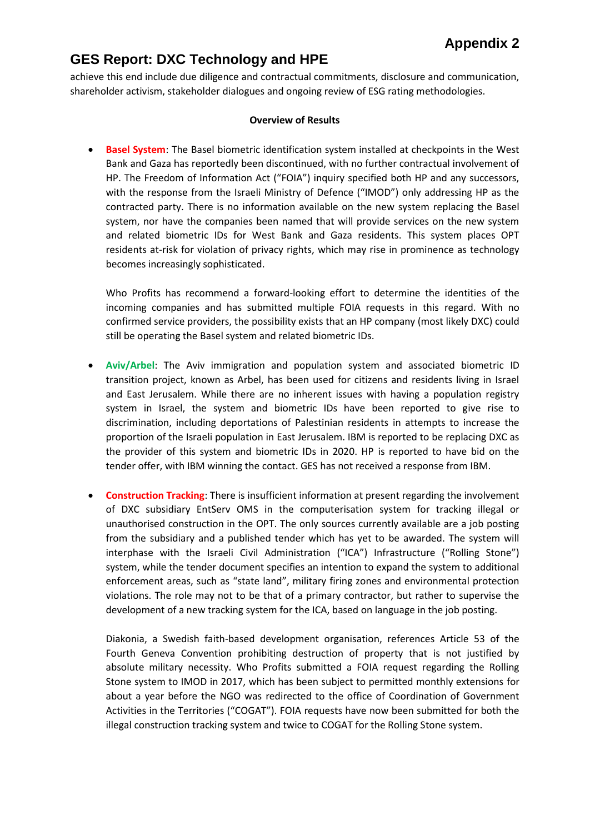achieve this end include due diligence and contractual commitments, disclosure and communication, shareholder activism, stakeholder dialogues and ongoing review of ESG rating methodologies.

#### **Overview of Results**

 **Basel System**: The Basel biometric identification system installed at checkpoints in the West Bank and Gaza has reportedly been discontinued, with no further contractual involvement of HP. The Freedom of Information Act ("FOIA") inquiry specified both HP and any successors, with the response from the Israeli Ministry of Defence ("IMOD") only addressing HP as the contracted party. There is no information available on the new system replacing the Basel system, nor have the companies been named that will provide services on the new system and related biometric IDs for West Bank and Gaza residents. This system places OPT residents at-risk for violation of privacy rights, which may rise in prominence as technology becomes increasingly sophisticated.

Who Profits has recommend a forward-looking effort to determine the identities of the incoming companies and has submitted multiple FOIA requests in this regard. With no confirmed service providers, the possibility exists that an HP company (most likely DXC) could still be operating the Basel system and related biometric IDs.

- **Aviv/Arbel**: The Aviv immigration and population system and associated biometric ID transition project, known as Arbel, has been used for citizens and residents living in Israel and East Jerusalem. While there are no inherent issues with having a population registry system in Israel, the system and biometric IDs have been reported to give rise to discrimination, including deportations of Palestinian residents in attempts to increase the proportion of the Israeli population in East Jerusalem. IBM is reported to be replacing DXC as the provider of this system and biometric IDs in 2020. HP is reported to have bid on the tender offer, with IBM winning the contact. GES has not received a response from IBM.
- **Construction Tracking**: There is insufficient information at present regarding the involvement of DXC subsidiary EntServ OMS in the computerisation system for tracking illegal or unauthorised construction in the OPT. The only sources currently available are a job posting from the subsidiary and a published tender which has yet to be awarded. The system will interphase with the Israeli Civil Administration ("ICA") Infrastructure ("Rolling Stone") system, while the tender document specifies an intention to expand the system to additional enforcement areas, such as "state land", military firing zones and environmental protection violations. The role may not to be that of a primary contractor, but rather to supervise the development of a new tracking system for the ICA, based on language in the job posting.

Diakonia, a Swedish faith-based development organisation, references Article 53 of the Fourth Geneva Convention prohibiting destruction of property that is not justified by absolute military necessity. Who Profits submitted a FOIA request regarding the Rolling Stone system to IMOD in 2017, which has been subject to permitted monthly extensions for about a year before the NGO was redirected to the office of Coordination of Government Activities in the Territories ("COGAT"). FOIA requests have now been submitted for both the illegal construction tracking system and twice to COGAT for the Rolling Stone system.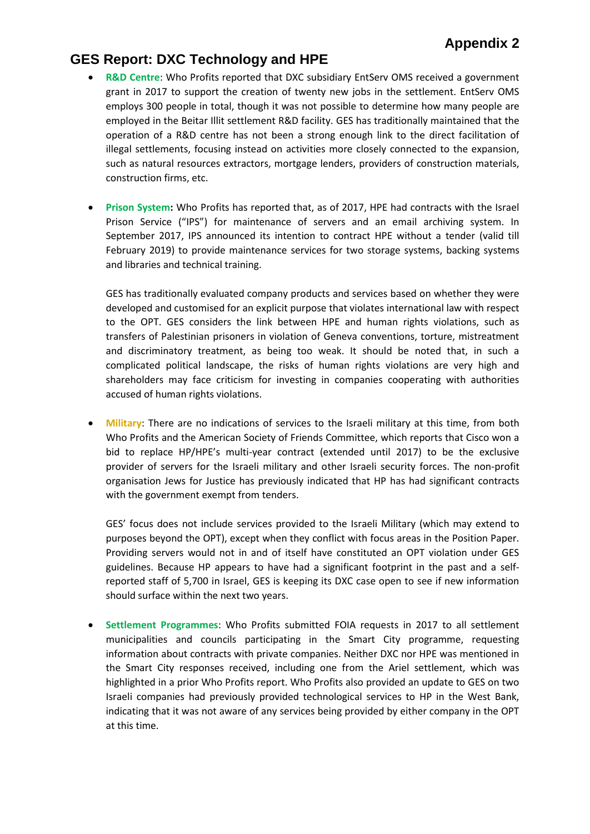- **R&D Centre:** Who Profits reported that DXC subsidiary EntServ OMS received a government grant in 2017 to support the creation of twenty new jobs in the settlement. EntServ OMS employs 300 people in total, though it was not possible to determine how many people are employed in the Beitar Illit settlement R&D facility. GES has traditionally maintained that the operation of a R&D centre has not been a strong enough link to the direct facilitation of illegal settlements, focusing instead on activities more closely connected to the expansion, such as natural resources extractors, mortgage lenders, providers of construction materials, construction firms, etc.
- **Prison System:** Who Profits has reported that, as of 2017, HPE had contracts with the Israel Prison Service ("IPS") for maintenance of servers and an email archiving system. In September 2017, IPS announced its intention to contract HPE without a tender (valid till February 2019) to provide maintenance services for two storage systems, backing systems and libraries and technical training.

GES has traditionally evaluated company products and services based on whether they were developed and customised for an explicit purpose that violates international law with respect to the OPT. GES considers the link between HPE and human rights violations, such as transfers of Palestinian prisoners in violation of Geneva conventions, torture, mistreatment and discriminatory treatment, as being too weak. It should be noted that, in such a complicated political landscape, the risks of human rights violations are very high and shareholders may face criticism for investing in companies cooperating with authorities accused of human rights violations.

 **Military**: There are no indications of services to the Israeli military at this time, from both Who Profits and the American Society of Friends Committee, which reports that Cisco won a bid to replace HP/HPE's multi-year contract (extended until 2017) to be the exclusive provider of servers for the Israeli military and other Israeli security forces. The non-profit organisation Jews for Justice has previously indicated that HP has had significant contracts with the government exempt from tenders.

GES' focus does not include services provided to the Israeli Military (which may extend to purposes beyond the OPT), except when they conflict with focus areas in the Position Paper. Providing servers would not in and of itself have constituted an OPT violation under GES guidelines. Because HP appears to have had a significant footprint in the past and a selfreported staff of 5,700 in Israel, GES is keeping its DXC case open to see if new information should surface within the next two years.

 **Settlement Programmes**: Who Profits submitted FOIA requests in 2017 to all settlement municipalities and councils participating in the Smart City programme, requesting information about contracts with private companies. Neither DXC nor HPE was mentioned in the Smart City responses received, including one from the Ariel settlement, which was highlighted in a prior Who Profits report. Who Profits also provided an update to GES on two Israeli companies had previously provided technological services to HP in the West Bank, indicating that it was not aware of any services being provided by either company in the OPT at this time.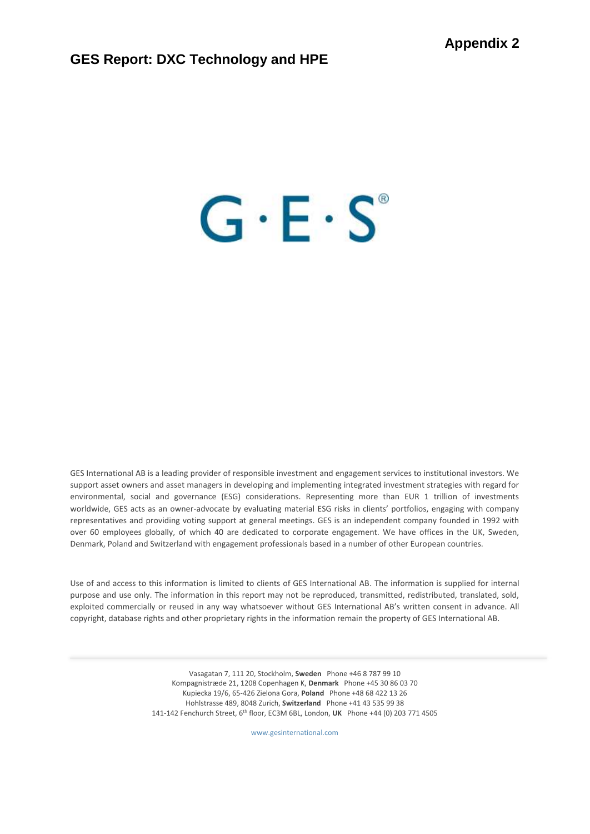# $G \cdot E \cdot S^*$

GES International AB is a leading provider of responsible investment and engagement services to institutional investors. We support asset owners and asset managers in developing and implementing integrated investment strategies with regard for environmental, social and governance (ESG) considerations. Representing more than EUR 1 trillion of investments worldwide, GES acts as an owner-advocate by evaluating material ESG risks in clients' portfolios, engaging with company representatives and providing voting support at general meetings. GES is an independent company founded in 1992 with over 60 employees globally, of which 40 are dedicated to corporate engagement. We have offices in the UK, Sweden, Denmark, Poland and Switzerland with engagement professionals based in a number of other European countries.

Use of and access to this information is limited to clients of GES International AB. The information is supplied for internal purpose and use only. The information in this report may not be reproduced, transmitted, redistributed, translated, sold, exploited commercially or reused in any way whatsoever without GES International AB's written consent in advance. All copyright, database rights and other proprietary rights in the information remain the property of GES International AB.

> Vasagatan 7, 111 20, Stockholm, **Sweden** Phone +46 8 787 99 10 Kompagnistræde 21, 1208 Copenhagen K, **Denmark** Phone +45 30 86 03 70 Kupiecka 19/6, 65-426 Zielona Gora, **Poland** Phone +48 68 422 13 26 Hohlstrasse 489, 8048 Zurich, **Switzerland** Phone +41 43 535 99 38 141-142 Fenchurch Street, 6th floor, EC3M 6BL, London, **UK** Phone +44 (0) 203 771 4505

> > www.gesinternational.com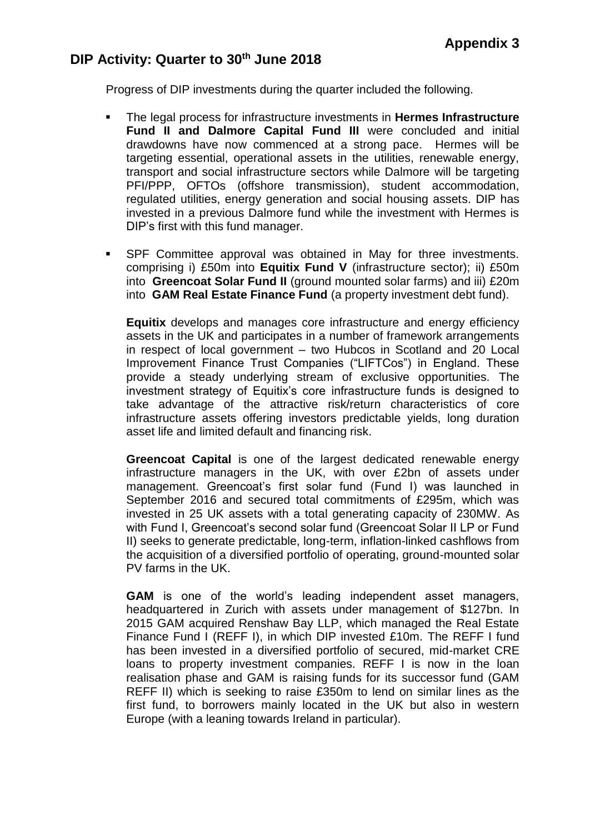# **DIP Activity: Quarter to 30th June 2018**

Progress of DIP investments during the quarter included the following.

- The legal process for infrastructure investments in **Hermes Infrastructure Fund II and Dalmore Capital Fund III** were concluded and initial drawdowns have now commenced at a strong pace. Hermes will be targeting essential, operational assets in the utilities, renewable energy, transport and social infrastructure sectors while Dalmore will be targeting PFI/PPP, OFTOs (offshore transmission), student accommodation, regulated utilities, energy generation and social housing assets. DIP has invested in a previous Dalmore fund while the investment with Hermes is DIP's first with this fund manager.
- SPF Committee approval was obtained in May for three investments. comprising i) £50m into **Equitix Fund V** (infrastructure sector); ii) £50m into **Greencoat Solar Fund II** (ground mounted solar farms) and iii) £20m into **GAM Real Estate Finance Fund** (a property investment debt fund).

**Equitix** develops and manages core infrastructure and energy efficiency assets in the UK and participates in a number of framework arrangements in respect of local government – two Hubcos in Scotland and 20 Local Improvement Finance Trust Companies ("LIFTCos") in England. These provide a steady underlying stream of exclusive opportunities. The investment strategy of Equitix's core infrastructure funds is designed to take advantage of the attractive risk/return characteristics of core infrastructure assets offering investors predictable yields, long duration asset life and limited default and financing risk.

**Greencoat Capital** is one of the largest dedicated renewable energy infrastructure managers in the UK, with over £2bn of assets under management. Greencoat's first solar fund (Fund I) was launched in September 2016 and secured total commitments of £295m, which was invested in 25 UK assets with a total generating capacity of 230MW. As with Fund I, Greencoat's second solar fund (Greencoat Solar II LP or Fund II) seeks to generate predictable, long-term, inflation-linked cashflows from the acquisition of a diversified portfolio of operating, ground-mounted solar PV farms in the UK.

**GAM** is one of the world's leading independent asset managers, headquartered in Zurich with assets under management of \$127bn. In 2015 GAM acquired Renshaw Bay LLP, which managed the Real Estate Finance Fund I (REFF I), in which DIP invested £10m. The REFF I fund has been invested in a diversified portfolio of secured, mid-market CRE loans to property investment companies. REFF I is now in the loan realisation phase and GAM is raising funds for its successor fund (GAM REFF II) which is seeking to raise £350m to lend on similar lines as the first fund, to borrowers mainly located in the UK but also in western Europe (with a leaning towards Ireland in particular).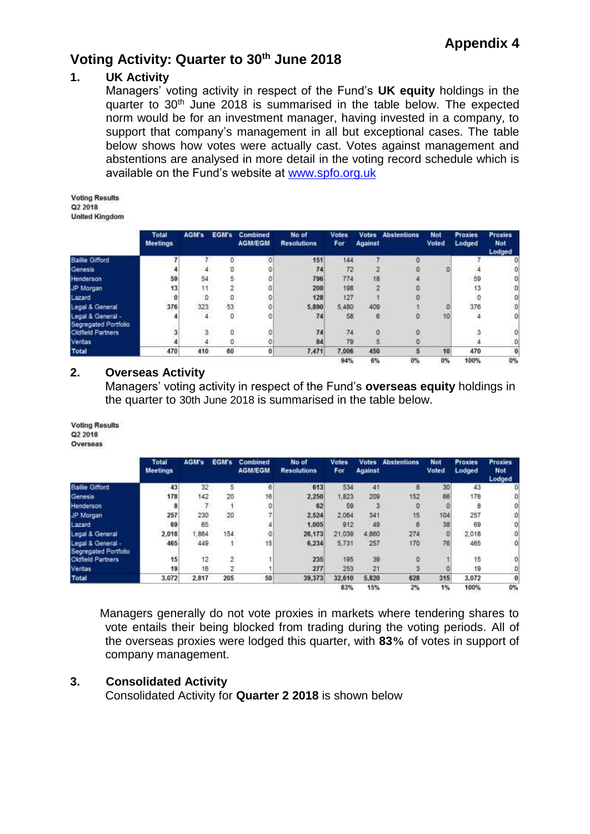## **1. UK Activity**

Managers' voting activity in respect of the Fund's **UK equity** holdings in the quarter to 30<sup>th</sup> June 2018 is summarised in the table below. The expected norm would be for an investment manager, having invested in a company, to support that company's management in all but exceptional cases. The table below shows how votes were actually cast. Votes against management and abstentions are analysed in more detail in the voting record schedule which is available on the Fund's website at [www.spfo.org.uk](http://www.spfo.org.uk/)

**Voting Results** Q2 2018 **United Kingdom** 

|                                           | <b>Total</b><br><b>Meetings</b> | AGM's |    | <b>EGM's Combined</b><br><b>AGM/EGM</b> | No of<br><b>Resolutions</b> | <b>Votes</b><br>For | <b>Against</b> | <b>Votes Abstentions</b> | Not<br>Voted | <b>Proxies</b><br>Lodged | <b>Proxies</b><br><b>Not</b><br>Lodged |
|-------------------------------------------|---------------------------------|-------|----|-----------------------------------------|-----------------------------|---------------------|----------------|--------------------------|--------------|--------------------------|----------------------------------------|
| <b>Ballie Gifford</b>                     |                                 |       |    | 0                                       | 151                         | 144                 |                |                          |              |                          |                                        |
| Genesis                                   |                                 |       |    |                                         | 74                          | 72                  |                |                          |              |                          |                                        |
| Henderson                                 | 59                              | 54    |    |                                         | 796                         | 774                 | 18             |                          |              | 59                       |                                        |
| JP Morgan                                 | 13                              | 11    |    |                                         | 200                         | 198                 |                |                          |              | 13                       |                                        |
| Lazard                                    | o                               | 0     |    |                                         | 128                         | 127                 |                |                          |              |                          |                                        |
| Legal & General                           | 376                             | 323   | 53 |                                         | 5,890                       | 5,480               | 409            |                          |              | 376                      |                                        |
| Legal & General -<br>Segregated Portfolio |                                 | 4     | 0  |                                         | 74                          | 58                  | 6              |                          | 10           |                          | O                                      |
| Oldfield Partners                         |                                 | 3     |    |                                         | 74                          | 74                  |                |                          |              |                          |                                        |
| Veritas                                   |                                 |       |    |                                         | 84                          | 79                  |                |                          |              |                          |                                        |
| <b>Total</b>                              | 470                             | 410   | 60 | $\bf{0}$                                | 7,471                       | 7,006               | 450            |                          | 10           | 470                      | 0                                      |
|                                           |                                 |       |    |                                         |                             | 94%                 | 6%             | 0%                       | 0%           | 100%                     | 0%                                     |

## **2. Overseas Activity**

Managers' voting activity in respect of the Fund's **overseas equity** holdings in the quarter to 30th June 2018 is summarised in the table below.

**Voting Results** Q2 2018 Overseas

|                                           | <b>Total</b><br><b>Meetings</b> | AGM's | EGM's | Combined<br><b>AGM/EGM</b> | No of<br><b>Resolutions</b> | <b>Votes</b><br>For | <b>Against</b> | <b>Votes Abstentions</b> | Not<br>Voted | <b>Proxies</b><br>Lodged | <b>Proxies</b><br><b>Not</b><br>Lodged |
|-------------------------------------------|---------------------------------|-------|-------|----------------------------|-----------------------------|---------------------|----------------|--------------------------|--------------|--------------------------|----------------------------------------|
| <b>Ballie Gifford</b>                     | 43                              | 32    | 5     | 6                          | 613                         | 534                 | 41             | B                        | 30           | 43                       |                                        |
| Genesis                                   | 178                             | 142   | 20    | 16                         | 2.250                       | ,823                | 209            | 152                      | 66           | 178                      |                                        |
| Henderson                                 | 8                               |       |       | Ű                          | 62                          | 59                  | з              |                          |              | 8                        |                                        |
| JP Morgan                                 | 257                             | 230   | 20    |                            | 2.524                       | 2,064               | 341            | 15                       | 104          | 257                      |                                        |
| Lazard                                    | 69                              | 65    |       |                            | 1.005                       | 912                 | 49             | 6                        | 38           | 69                       |                                        |
| Legal & General                           | 2,018                           | .864  | 154   | O.                         | 26,173                      | 21,039              | 4,860          | 274                      | O            | 2,018                    | o                                      |
| Legal & General -<br>Segregated Portfolio | 465                             | 449   |       | 15                         | 6.234                       | 5.731               | 257            | 170                      | 76           | 465                      | 0                                      |
| Oldfield Partners                         | 15                              | 12    | 2     |                            | 235                         | 195                 | 39             | $\Omega$                 |              | 15                       |                                        |
| Veritas                                   | 19                              | 16    | 2     |                            | 277                         | 253                 | 21             |                          |              | 19                       |                                        |
| <b>Total</b>                              | 3,072                           | 2,817 | 205   | 50                         | 39,373                      | 32,610              | 5,820          | 628                      | 315          | 3,072                    | O                                      |
|                                           |                                 |       |       |                            |                             | 83%                 | 15%            | 2%                       | 1%           | 100%                     | 0%                                     |

Managers generally do not vote proxies in markets where tendering shares to vote entails their being blocked from trading during the voting periods. All of the overseas proxies were lodged this quarter, with **83%** of votes in support of company management.

## **3. Consolidated Activity**

Consolidated Activity for **Quarter 2 2018** is shown below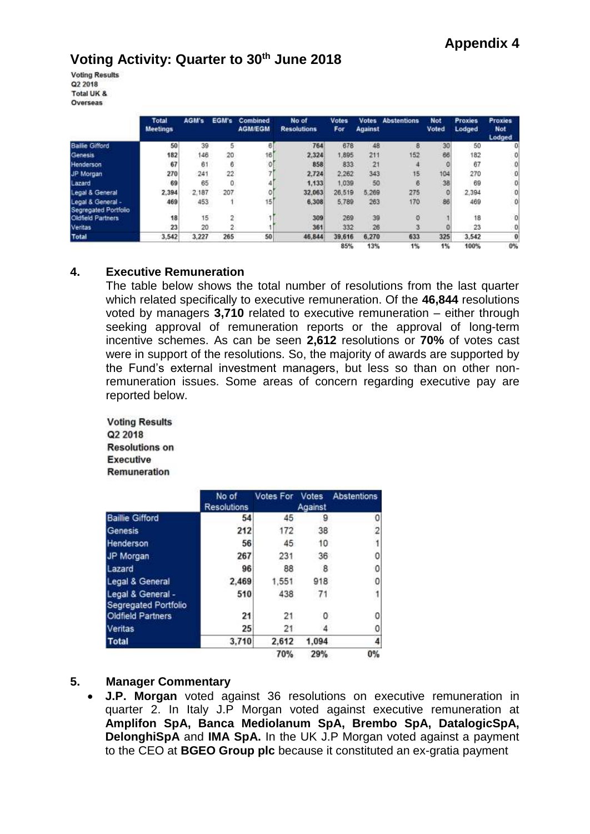**Voting Results** Q2 2018 Total UK & Overseas

|                                           | Total<br>Meetings | AGM's | EGM's | Combined<br><b>AGM/EGM</b> | No of<br><b>Resolutions</b> | <b>Votes</b><br>For | Against | <b>Votes Abstentions</b> | <b>Not</b><br>Voted | <b>Proxies</b><br>Lodged | <b>Proxies</b><br><b>Not</b><br>Lodged |
|-------------------------------------------|-------------------|-------|-------|----------------------------|-----------------------------|---------------------|---------|--------------------------|---------------------|--------------------------|----------------------------------------|
| <b>Bailie Gifford</b>                     | 50                | 39    | 5     | 6                          | 764                         | 678                 | 48      | 8                        | 30                  | 50                       | o                                      |
| Genesis                                   | 182               | 146   | 20    | 16                         | 2.324                       | 1,895               | 211     | 152                      | 66                  | 182                      |                                        |
| Henderson                                 | 67                | 61    | 6     | ö                          | 858                         | 833                 | 21      |                          | ø                   | 67                       | ٥                                      |
| JP Morgan                                 | 270               | 241   | 22    |                            | 2.724                       | 2.262               | 343     | 15                       | 104                 | 270                      | o                                      |
| Lazard                                    | 69                | 65    | 0     |                            | 1,133                       | 1,039               | 50      | 6                        | 38                  | 69                       | o                                      |
| Legal & General                           | 2,394             | 2.187 | 207   |                            | 32.063                      | 26,519              | 5.269   | 275                      | о                   | 2,394                    | 0                                      |
| Legal & General -<br>Segregated Portfolio | 469               | 453   |       | 15                         | 6,308                       | 5,789               | 263     | 170                      | 86                  | 469                      | 0                                      |
| Oldfield Partners                         | 18                | 15    | 2     |                            | 309                         | 269                 | 39      |                          |                     | 18                       | $\mathbf 0$                            |
| Veritas                                   | 23                | 20    | 2     |                            | 361                         | 332                 | 26      |                          |                     | 23                       | o                                      |
| <b>Total</b>                              | 3,542             | 3,227 | 265   | 50                         | 46,844                      | 39,616              | 6,270   | 633                      | 325                 | 3,542                    | Ü                                      |
|                                           |                   |       |       |                            |                             | 85%                 | 13%     | 1%                       | 1%                  | 100%                     | $0\%$                                  |

## **4. Executive Remuneration**

The table below shows the total number of resolutions from the last quarter which related specifically to executive remuneration. Of the **46,844** resolutions voted by managers **3,710** related to executive remuneration – either through seeking approval of remuneration reports or the approval of long-term incentive schemes. As can be seen **2,612** resolutions or **70%** of votes cast were in support of the resolutions. So, the majority of awards are supported by the Fund's external investment managers, but less so than on other nonremuneration issues. Some areas of concern regarding executive pay are reported below.

**Voting Results** Q2 2018 **Resolutions on Executive** Remuneration

|                                           | No of<br>Resolutions | <b>Votes For Votes</b> | Against | <b>Abstentions</b> |
|-------------------------------------------|----------------------|------------------------|---------|--------------------|
| <b>Baillie Gifford</b>                    | 54                   | 45                     | 9       | 0                  |
| Genesis                                   | 212                  | 172                    | 38      | $\overline{c}$     |
| Henderson                                 | 56                   | 45                     | 10      |                    |
| JP Morgan                                 | 267                  | 231                    | 36      | 0                  |
| Lazard                                    | 96                   | 88                     | 8       | 0                  |
| Legal & General                           | 2,469                | 1,551                  | 918     | 0                  |
| Legal & General -<br>Segregated Portfolio | 510                  | 438                    | 71      |                    |
| Oldfield Partners                         | 21                   | 21                     | 0       | 0                  |
| Veritas                                   | 25                   | 21                     |         | 0                  |
| <b>Total</b>                              | 3.710                | 2.612                  | 1.094   | 4                  |
|                                           |                      | 70%                    | 29%     | 0%                 |

## **5. Manager Commentary**

 **J.P. Morgan** voted against 36 resolutions on executive remuneration in quarter 2. In Italy J.P Morgan voted against executive remuneration at **Amplifon SpA, Banca Mediolanum SpA, Brembo SpA, DatalogicSpA, DelonghiSpA** and **IMA SpA.** In the UK J.P Morgan voted against a payment to the CEO at **BGEO Group plc** because it constituted an ex-gratia payment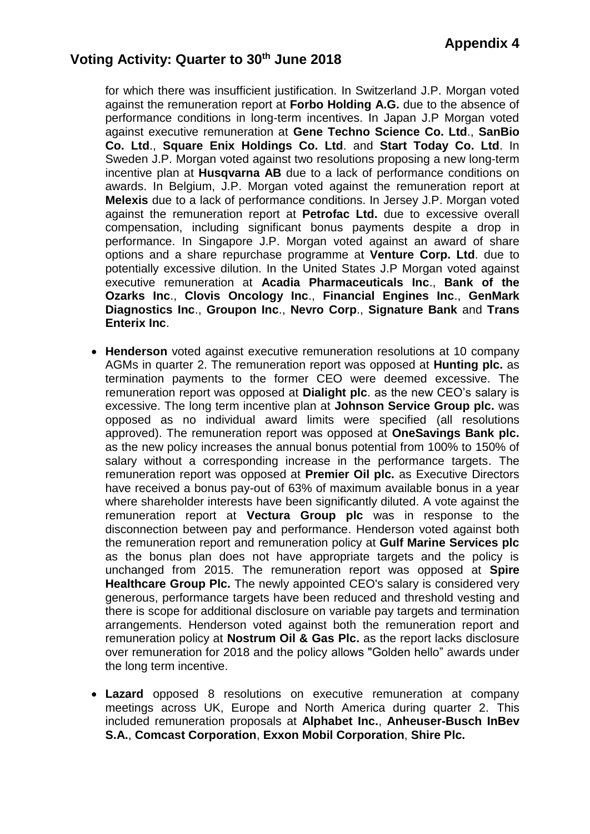for which there was insufficient justification. In Switzerland J.P. Morgan voted against the remuneration report at **Forbo Holding A.G.** due to the absence of performance conditions in long-term incentives. In Japan J.P Morgan voted against executive remuneration at **Gene Techno Science Co. Ltd**., **SanBio Co. Ltd**., **Square Enix Holdings Co. Ltd**. and **Start Today Co. Ltd**. In Sweden J.P. Morgan voted against two resolutions proposing a new long-term incentive plan at **Husqvarna AB** due to a lack of performance conditions on awards. In Belgium, J.P. Morgan voted against the remuneration report at **Melexis** due to a lack of performance conditions. In Jersey J.P. Morgan voted against the remuneration report at **Petrofac Ltd.** due to excessive overall compensation, including significant bonus payments despite a drop in performance. In Singapore J.P. Morgan voted against an award of share options and a share repurchase programme at **Venture Corp. Ltd**. due to potentially excessive dilution. In the United States J.P Morgan voted against executive remuneration at **Acadia Pharmaceuticals Inc**., **Bank of the Ozarks Inc**., **Clovis Oncology Inc**., **Financial Engines Inc**., **GenMark Diagnostics Inc**., **Groupon Inc**., **Nevro Corp**., **Signature Bank** and **Trans Enterix Inc**.

- **Henderson** voted against executive remuneration resolutions at 10 company AGMs in quarter 2. The remuneration report was opposed at **Hunting plc.** as termination payments to the former CEO were deemed excessive. The remuneration report was opposed at **Dialight plc**. as the new CEO's salary is excessive. The long term incentive plan at **Johnson Service Group plc.** was opposed as no individual award limits were specified (all resolutions approved). The remuneration report was opposed at **OneSavings Bank plc.**  as the new policy increases the annual bonus potential from 100% to 150% of salary without a corresponding increase in the performance targets. The remuneration report was opposed at **Premier Oil plc.** as Executive Directors have received a bonus pay-out of 63% of maximum available bonus in a year where shareholder interests have been significantly diluted. A vote against the remuneration report at **Vectura Group plc** was in response to the disconnection between pay and performance. Henderson voted against both the remuneration report and remuneration policy at **Gulf Marine Services plc** as the bonus plan does not have appropriate targets and the policy is unchanged from 2015. The remuneration report was opposed at **Spire Healthcare Group Plc.** The newly appointed CEO's salary is considered very generous, performance targets have been reduced and threshold vesting and there is scope for additional disclosure on variable pay targets and termination arrangements. Henderson voted against both the remuneration report and remuneration policy at **Nostrum Oil & Gas Plc.** as the report lacks disclosure over remuneration for 2018 and the policy allows "Golden hello" awards under the long term incentive.
- **Lazard** opposed 8 resolutions on executive remuneration at company meetings across UK, Europe and North America during quarter 2. This included remuneration proposals at **Alphabet Inc.**, **Anheuser-Busch InBev S.A.**, **Comcast Corporation**, **Exxon Mobil Corporation**, **Shire Plc.**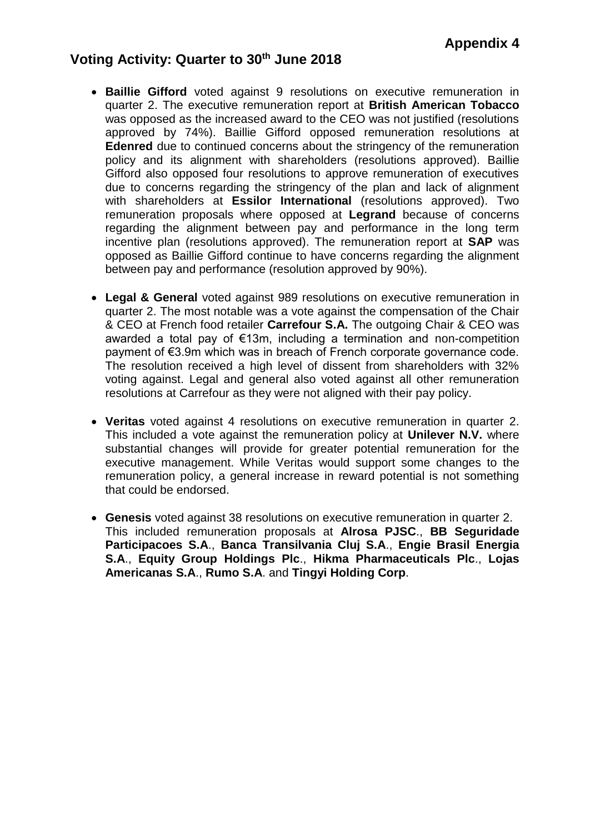- **Baillie Gifford** voted against 9 resolutions on executive remuneration in quarter 2. The executive remuneration report at **British American Tobacco** was opposed as the increased award to the CEO was not justified (resolutions approved by 74%). Baillie Gifford opposed remuneration resolutions at **Edenred** due to continued concerns about the stringency of the remuneration policy and its alignment with shareholders (resolutions approved). Baillie Gifford also opposed four resolutions to approve remuneration of executives due to concerns regarding the stringency of the plan and lack of alignment with shareholders at **Essilor International** (resolutions approved). Two remuneration proposals where opposed at **Legrand** because of concerns regarding the alignment between pay and performance in the long term incentive plan (resolutions approved). The remuneration report at **SAP** was opposed as Baillie Gifford continue to have concerns regarding the alignment between pay and performance (resolution approved by 90%).
- **Legal & General** voted against 989 resolutions on executive remuneration in quarter 2. The most notable was a vote against the compensation of the Chair & CEO at French food retailer **Carrefour S.A.** The outgoing Chair & CEO was awarded a total pay of €13m, including a termination and non-competition payment of €3.9m which was in breach of French corporate governance code. The resolution received a high level of dissent from shareholders with 32% voting against. Legal and general also voted against all other remuneration resolutions at Carrefour as they were not aligned with their pay policy.
- **Veritas** voted against 4 resolutions on executive remuneration in quarter 2. This included a vote against the remuneration policy at **Unilever N.V.** where substantial changes will provide for greater potential remuneration for the executive management. While Veritas would support some changes to the remuneration policy, a general increase in reward potential is not something that could be endorsed.
- **Genesis** voted against 38 resolutions on executive remuneration in quarter 2. This included remuneration proposals at **Alrosa PJSC**., **BB Seguridade Participacoes S.A**., **Banca Transilvania Cluj S.A**., **Engie Brasil Energia S.A**., **Equity Group Holdings Plc**., **Hikma Pharmaceuticals Plc**., **Lojas Americanas S.A**., **Rumo S.A**. and **Tingyi Holding Corp**.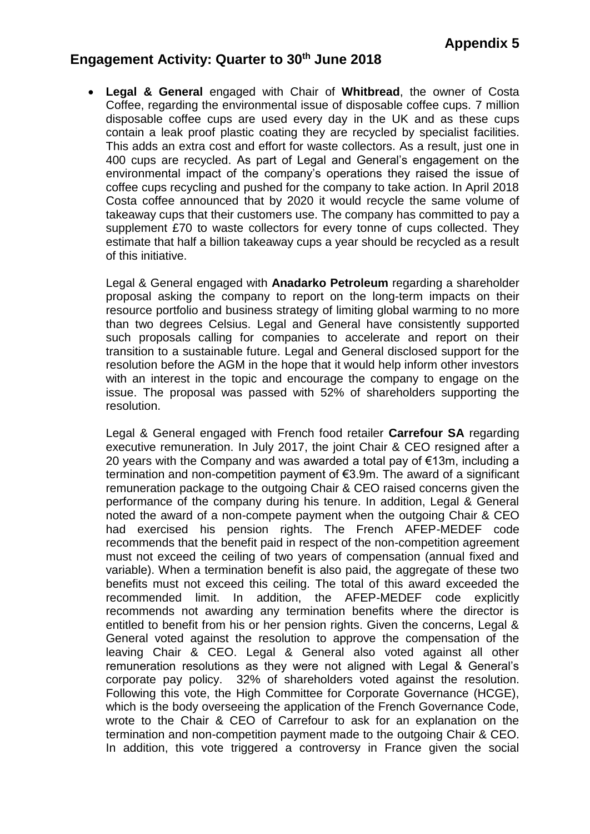**Legal & General** engaged with Chair of **Whitbread**, the owner of Costa Coffee, regarding the environmental issue of disposable coffee cups. 7 million disposable coffee cups are used every day in the UK and as these cups contain a leak proof plastic coating they are recycled by specialist facilities. This adds an extra cost and effort for waste collectors. As a result, just one in 400 cups are recycled. As part of Legal and General's engagement on the environmental impact of the company's operations they raised the issue of coffee cups recycling and pushed for the company to take action. In April 2018 Costa coffee announced that by 2020 it would recycle the same volume of takeaway cups that their customers use. The company has committed to pay a supplement £70 to waste collectors for every tonne of cups collected. They estimate that half a billion takeaway cups a year should be recycled as a result of this initiative.

Legal & General engaged with **Anadarko Petroleum** regarding a shareholder proposal asking the company to report on the long-term impacts on their resource portfolio and business strategy of limiting global warming to no more than two degrees Celsius. Legal and General have consistently supported such proposals calling for companies to accelerate and report on their transition to a sustainable future. Legal and General disclosed support for the resolution before the AGM in the hope that it would help inform other investors with an interest in the topic and encourage the company to engage on the issue. The proposal was passed with 52% of shareholders supporting the resolution.

Legal & General engaged with French food retailer **Carrefour SA** regarding executive remuneration. In July 2017, the joint Chair & CEO resigned after a 20 years with the Company and was awarded a total pay of €13m, including a termination and non-competition payment of €3.9m. The award of a significant remuneration package to the outgoing Chair & CEO raised concerns given the performance of the company during his tenure. In addition, Legal & General noted the award of a non-compete payment when the outgoing Chair & CEO had exercised his pension rights. The French AFEP-MEDEF code recommends that the benefit paid in respect of the non-competition agreement must not exceed the ceiling of two years of compensation (annual fixed and variable). When a termination benefit is also paid, the aggregate of these two benefits must not exceed this ceiling. The total of this award exceeded the recommended limit. In addition, the AFEP-MEDEF code explicitly recommends not awarding any termination benefits where the director is entitled to benefit from his or her pension rights. Given the concerns, Legal & General voted against the resolution to approve the compensation of the leaving Chair & CEO. Legal & General also voted against all other remuneration resolutions as they were not aligned with Legal & General's corporate pay policy. 32% of shareholders voted against the resolution. Following this vote, the High Committee for Corporate Governance (HCGE), which is the body overseeing the application of the French Governance Code, wrote to the Chair & CEO of Carrefour to ask for an explanation on the termination and non-competition payment made to the outgoing Chair & CEO. In addition, this vote triggered a controversy in France given the social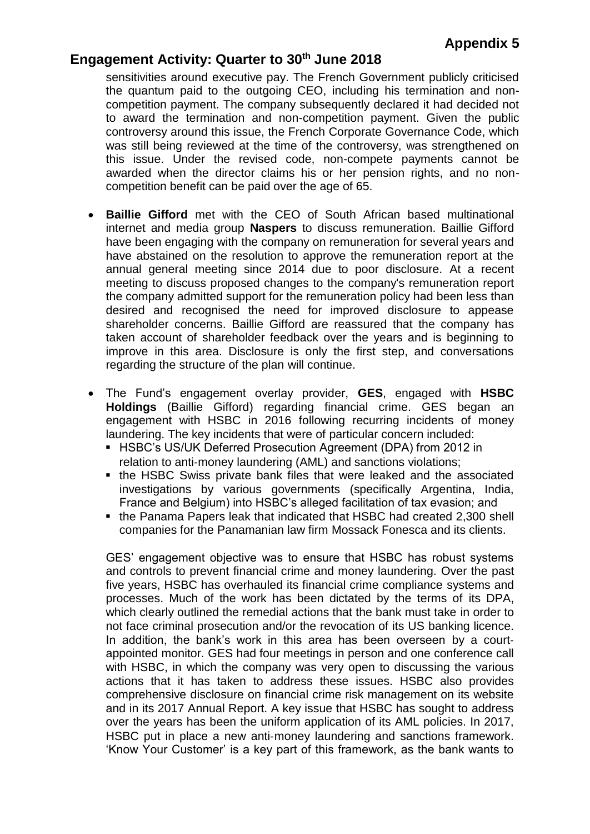sensitivities around executive pay. The French Government publicly criticised the quantum paid to the outgoing CEO, including his termination and noncompetition payment. The company subsequently declared it had decided not to award the termination and non-competition payment. Given the public controversy around this issue, the French Corporate Governance Code, which was still being reviewed at the time of the controversy, was strengthened on this issue. Under the revised code, non-compete payments cannot be awarded when the director claims his or her pension rights, and no noncompetition benefit can be paid over the age of 65.

- **Baillie Gifford** met with the CEO of South African based multinational internet and media group **Naspers** to discuss remuneration. Baillie Gifford have been engaging with the company on remuneration for several years and have abstained on the resolution to approve the remuneration report at the annual general meeting since 2014 due to poor disclosure. At a recent meeting to discuss proposed changes to the company's remuneration report the company admitted support for the remuneration policy had been less than desired and recognised the need for improved disclosure to appease shareholder concerns. Baillie Gifford are reassured that the company has taken account of shareholder feedback over the years and is beginning to improve in this area. Disclosure is only the first step, and conversations regarding the structure of the plan will continue.
- The Fund's engagement overlay provider, **GES**, engaged with **HSBC Holdings** (Baillie Gifford) regarding financial crime. GES began an engagement with HSBC in 2016 following recurring incidents of money laundering. The key incidents that were of particular concern included:
	- HSBC's US/UK Deferred Prosecution Agreement (DPA) from 2012 in relation to anti-money laundering (AML) and sanctions violations;
	- the HSBC Swiss private bank files that were leaked and the associated investigations by various governments (specifically Argentina, India, France and Belgium) into HSBC's alleged facilitation of tax evasion; and
	- the Panama Papers leak that indicated that HSBC had created 2,300 shell companies for the Panamanian law firm Mossack Fonesca and its clients.

GES' engagement objective was to ensure that HSBC has robust systems and controls to prevent financial crime and money laundering. Over the past five years, HSBC has overhauled its financial crime compliance systems and processes. Much of the work has been dictated by the terms of its DPA, which clearly outlined the remedial actions that the bank must take in order to not face criminal prosecution and/or the revocation of its US banking licence. In addition, the bank's work in this area has been overseen by a court‐ appointed monitor. GES had four meetings in person and one conference call with HSBC, in which the company was very open to discussing the various actions that it has taken to address these issues. HSBC also provides comprehensive disclosure on financial crime risk management on its website and in its 2017 Annual Report. A key issue that HSBC has sought to address over the years has been the uniform application of its AML policies. In 2017, HSBC put in place a new anti-money laundering and sanctions framework. 'Know Your Customer' is a key part of this framework, as the bank wants to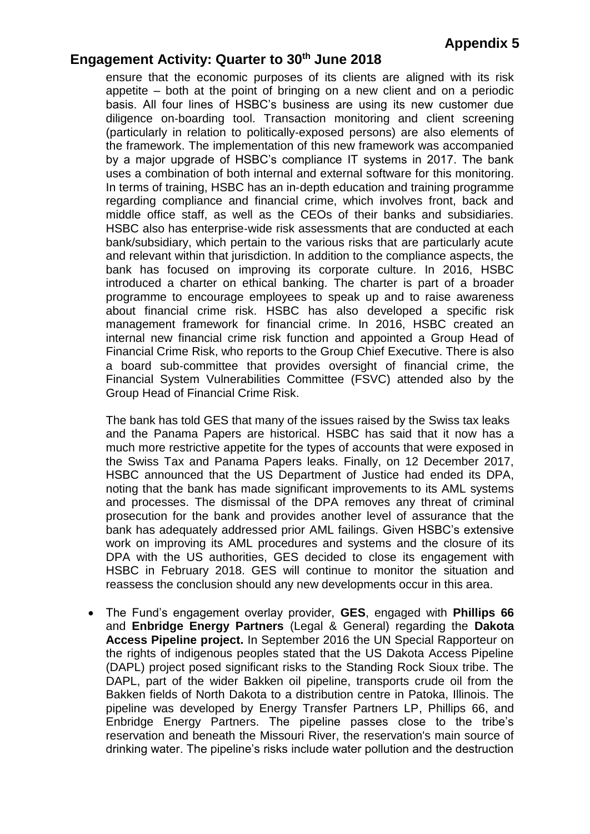ensure that the economic purposes of its clients are aligned with its risk appetite – both at the point of bringing on a new client and on a periodic basis. All four lines of HSBC's business are using its new customer due diligence on‐boarding tool. Transaction monitoring and client screening (particularly in relation to politically‐exposed persons) are also elements of the framework. The implementation of this new framework was accompanied by a major upgrade of HSBC's compliance IT systems in 2017. The bank uses a combination of both internal and external software for this monitoring. In terms of training, HSBC has an in-depth education and training programme regarding compliance and financial crime, which involves front, back and middle office staff, as well as the CEOs of their banks and subsidiaries. HSBC also has enterprise‐wide risk assessments that are conducted at each bank/subsidiary, which pertain to the various risks that are particularly acute and relevant within that jurisdiction. In addition to the compliance aspects, the bank has focused on improving its corporate culture. In 2016, HSBC introduced a charter on ethical banking. The charter is part of a broader programme to encourage employees to speak up and to raise awareness about financial crime risk. HSBC has also developed a specific risk management framework for financial crime. In 2016, HSBC created an internal new financial crime risk function and appointed a Group Head of Financial Crime Risk, who reports to the Group Chief Executive. There is also a board sub‐committee that provides oversight of financial crime, the Financial System Vulnerabilities Committee (FSVC) attended also by the Group Head of Financial Crime Risk.

The bank has told GES that many of the issues raised by the Swiss tax leaks and the Panama Papers are historical. HSBC has said that it now has a much more restrictive appetite for the types of accounts that were exposed in the Swiss Tax and Panama Papers leaks. Finally, on 12 December 2017, HSBC announced that the US Department of Justice had ended its DPA, noting that the bank has made significant improvements to its AML systems and processes. The dismissal of the DPA removes any threat of criminal prosecution for the bank and provides another level of assurance that the bank has adequately addressed prior AML failings. Given HSBC's extensive work on improving its AML procedures and systems and the closure of its DPA with the US authorities, GES decided to close its engagement with HSBC in February 2018. GES will continue to monitor the situation and reassess the conclusion should any new developments occur in this area.

 The Fund's engagement overlay provider, **GES**, engaged with **Phillips 66** and **Enbridge Energy Partners** (Legal & General) regarding the **Dakota Access Pipeline project.** In September 2016 the UN Special Rapporteur on the rights of indigenous peoples stated that the US Dakota Access Pipeline (DAPL) project posed significant risks to the Standing Rock Sioux tribe. The DAPL, part of the wider Bakken oil pipeline, transports crude oil from the Bakken fields of North Dakota to a distribution centre in Patoka, Illinois. The pipeline was developed by Energy Transfer Partners LP, Phillips 66, and Enbridge Energy Partners. The pipeline passes close to the tribe's reservation and beneath the Missouri River, the reservation's main source of drinking water. The pipeline's risks include water pollution and the destruction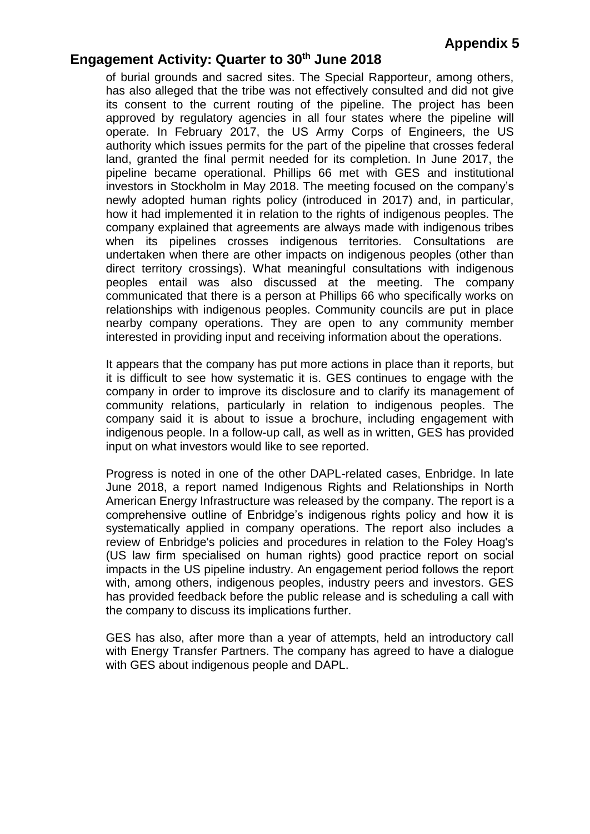of burial grounds and sacred sites. The Special Rapporteur, among others, has also alleged that the tribe was not effectively consulted and did not give its consent to the current routing of the pipeline. The project has been approved by regulatory agencies in all four states where the pipeline will operate. In February 2017, the US Army Corps of Engineers, the US authority which issues permits for the part of the pipeline that crosses federal land, granted the final permit needed for its completion. In June 2017, the pipeline became operational. Phillips 66 met with GES and institutional investors in Stockholm in May 2018. The meeting focused on the company's newly adopted human rights policy (introduced in 2017) and, in particular, how it had implemented it in relation to the rights of indigenous peoples. The company explained that agreements are always made with indigenous tribes when its pipelines crosses indigenous territories. Consultations are undertaken when there are other impacts on indigenous peoples (other than direct territory crossings). What meaningful consultations with indigenous peoples entail was also discussed at the meeting. The company communicated that there is a person at Phillips 66 who specifically works on relationships with indigenous peoples. Community councils are put in place nearby company operations. They are open to any community member interested in providing input and receiving information about the operations.

It appears that the company has put more actions in place than it reports, but it is difficult to see how systematic it is. GES continues to engage with the company in order to improve its disclosure and to clarify its management of community relations, particularly in relation to indigenous peoples. The company said it is about to issue a brochure, including engagement with indigenous people. In a follow-up call, as well as in written, GES has provided input on what investors would like to see reported.

Progress is noted in one of the other DAPL-related cases, Enbridge. In late June 2018, a report named Indigenous Rights and Relationships in North American Energy Infrastructure was released by the company. The report is a comprehensive outline of Enbridge's indigenous rights policy and how it is systematically applied in company operations. The report also includes a review of Enbridge's policies and procedures in relation to the Foley Hoag's (US law firm specialised on human rights) good practice report on social impacts in the US pipeline industry. An engagement period follows the report with, among others, indigenous peoples, industry peers and investors. GES has provided feedback before the public release and is scheduling a call with the company to discuss its implications further.

GES has also, after more than a year of attempts, held an introductory call with Energy Transfer Partners. The company has agreed to have a dialogue with GES about indigenous people and DAPL.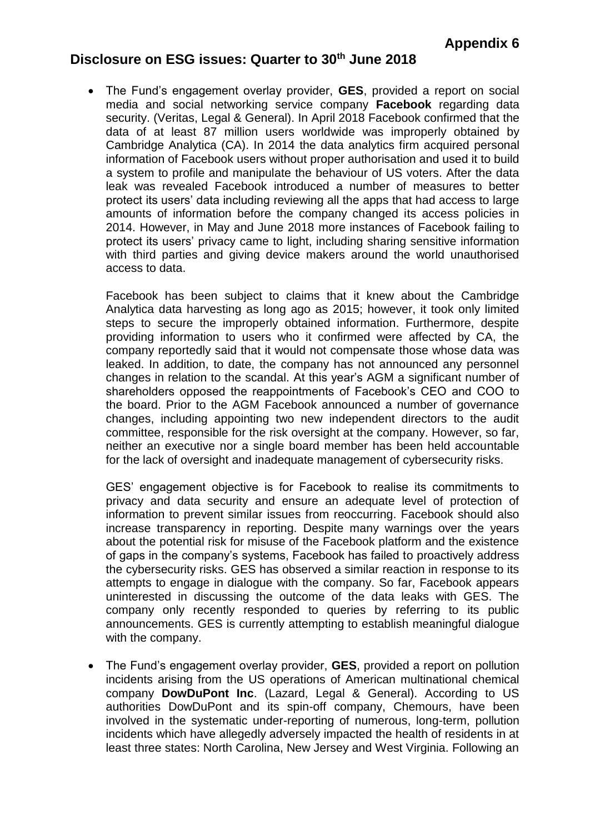# **Disclosure on ESG issues: Quarter to 30th June 2018**

 The Fund's engagement overlay provider, **GES**, provided a report on social media and social networking service company **Facebook** regarding data security. (Veritas, Legal & General). In April 2018 Facebook confirmed that the data of at least 87 million users worldwide was improperly obtained by Cambridge Analytica (CA). In 2014 the data analytics firm acquired personal information of Facebook users without proper authorisation and used it to build a system to profile and manipulate the behaviour of US voters. After the data leak was revealed Facebook introduced a number of measures to better protect its users' data including reviewing all the apps that had access to large amounts of information before the company changed its access policies in 2014. However, in May and June 2018 more instances of Facebook failing to protect its users' privacy came to light, including sharing sensitive information with third parties and giving device makers around the world unauthorised access to data.

Facebook has been subject to claims that it knew about the Cambridge Analytica data harvesting as long ago as 2015; however, it took only limited steps to secure the improperly obtained information. Furthermore, despite providing information to users who it confirmed were affected by CA, the company reportedly said that it would not compensate those whose data was leaked. In addition, to date, the company has not announced any personnel changes in relation to the scandal. At this year's AGM a significant number of shareholders opposed the reappointments of Facebook's CEO and COO to the board. Prior to the AGM Facebook announced a number of governance changes, including appointing two new independent directors to the audit committee, responsible for the risk oversight at the company. However, so far, neither an executive nor a single board member has been held accountable for the lack of oversight and inadequate management of cybersecurity risks.

GES' engagement objective is for Facebook to realise its commitments to privacy and data security and ensure an adequate level of protection of information to prevent similar issues from reoccurring. Facebook should also increase transparency in reporting. Despite many warnings over the years about the potential risk for misuse of the Facebook platform and the existence of gaps in the company's systems, Facebook has failed to proactively address the cybersecurity risks. GES has observed a similar reaction in response to its attempts to engage in dialogue with the company. So far, Facebook appears uninterested in discussing the outcome of the data leaks with GES. The company only recently responded to queries by referring to its public announcements. GES is currently attempting to establish meaningful dialogue with the company.

 The Fund's engagement overlay provider, **GES**, provided a report on pollution incidents arising from the US operations of American multinational chemical company **DowDuPont Inc**. (Lazard, Legal & General). According to US authorities DowDuPont and its spin-off company, Chemours, have been involved in the systematic under-reporting of numerous, long-term, pollution incidents which have allegedly adversely impacted the health of residents in at least three states: North Carolina, New Jersey and West Virginia. Following an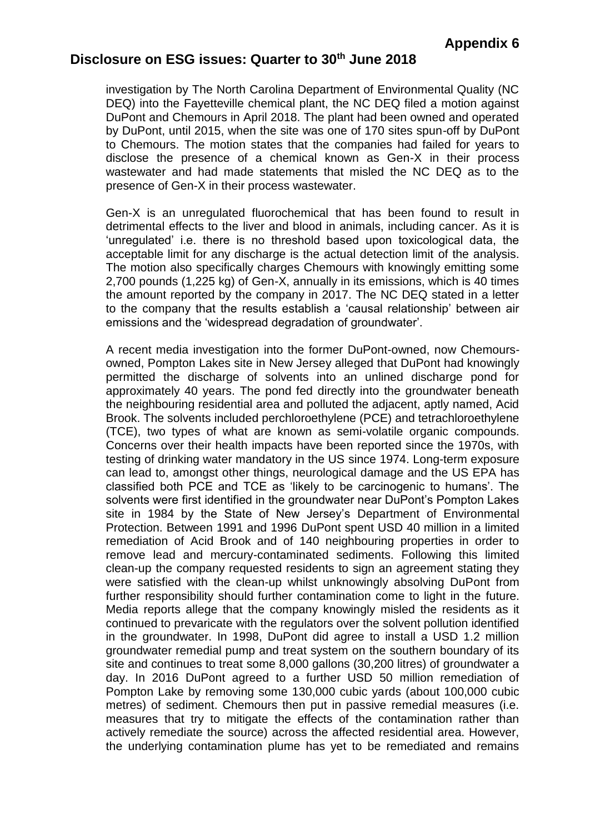# **Disclosure on ESG issues: Quarter to 30th June 2018**

investigation by The North Carolina Department of Environmental Quality (NC DEQ) into the Fayetteville chemical plant, the NC DEQ filed a motion against DuPont and Chemours in April 2018. The plant had been owned and operated by DuPont, until 2015, when the site was one of 170 sites spun-off by DuPont to Chemours. The motion states that the companies had failed for years to disclose the presence of a chemical known as Gen-X in their process wastewater and had made statements that misled the NC DEQ as to the presence of Gen-X in their process wastewater.

Gen-X is an unregulated fluorochemical that has been found to result in detrimental effects to the liver and blood in animals, including cancer. As it is 'unregulated' i.e. there is no threshold based upon toxicological data, the acceptable limit for any discharge is the actual detection limit of the analysis. The motion also specifically charges Chemours with knowingly emitting some 2,700 pounds (1,225 kg) of Gen-X, annually in its emissions, which is 40 times the amount reported by the company in 2017. The NC DEQ stated in a letter to the company that the results establish a 'causal relationship' between air emissions and the 'widespread degradation of groundwater'.

A recent media investigation into the former DuPont-owned, now Chemoursowned, Pompton Lakes site in New Jersey alleged that DuPont had knowingly permitted the discharge of solvents into an unlined discharge pond for approximately 40 years. The pond fed directly into the groundwater beneath the neighbouring residential area and polluted the adjacent, aptly named, Acid Brook. The solvents included perchloroethylene (PCE) and tetrachloroethylene (TCE), two types of what are known as semi-volatile organic compounds. Concerns over their health impacts have been reported since the 1970s, with testing of drinking water mandatory in the US since 1974. Long-term exposure can lead to, amongst other things, neurological damage and the US EPA has classified both PCE and TCE as 'likely to be carcinogenic to humans'. The solvents were first identified in the groundwater near DuPont's Pompton Lakes site in 1984 by the State of New Jersey's Department of Environmental Protection. Between 1991 and 1996 DuPont spent USD 40 million in a limited remediation of Acid Brook and of 140 neighbouring properties in order to remove lead and mercury-contaminated sediments. Following this limited clean-up the company requested residents to sign an agreement stating they were satisfied with the clean-up whilst unknowingly absolving DuPont from further responsibility should further contamination come to light in the future. Media reports allege that the company knowingly misled the residents as it continued to prevaricate with the regulators over the solvent pollution identified in the groundwater. In 1998, DuPont did agree to install a USD 1.2 million groundwater remedial pump and treat system on the southern boundary of its site and continues to treat some 8,000 gallons (30,200 litres) of groundwater a day. In 2016 DuPont agreed to a further USD 50 million remediation of Pompton Lake by removing some 130,000 cubic yards (about 100,000 cubic metres) of sediment. Chemours then put in passive remedial measures (i.e. measures that try to mitigate the effects of the contamination rather than actively remediate the source) across the affected residential area. However, the underlying contamination plume has yet to be remediated and remains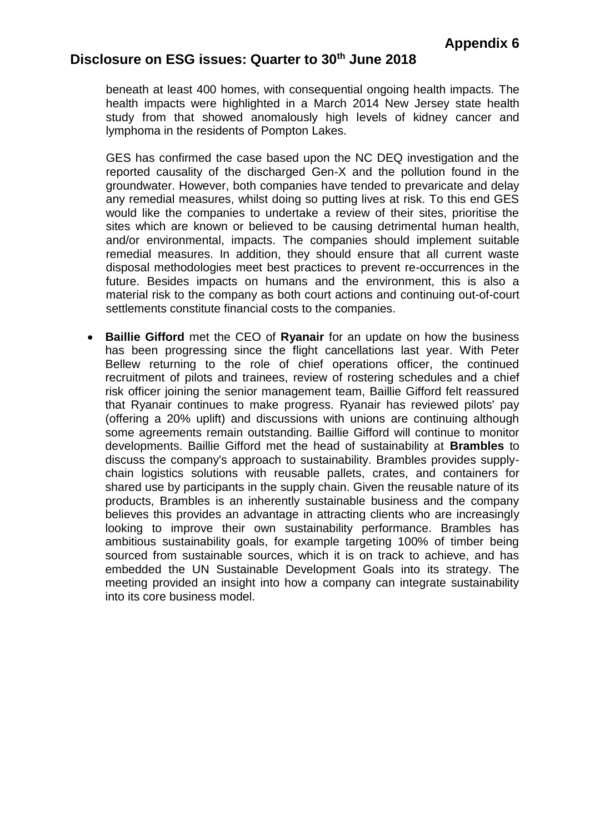# **Disclosure on ESG issues: Quarter to 30th June 2018**

beneath at least 400 homes, with consequential ongoing health impacts. The health impacts were highlighted in a March 2014 New Jersey state health study from that showed anomalously high levels of kidney cancer and lymphoma in the residents of Pompton Lakes.

GES has confirmed the case based upon the NC DEQ investigation and the reported causality of the discharged Gen-X and the pollution found in the groundwater. However, both companies have tended to prevaricate and delay any remedial measures, whilst doing so putting lives at risk. To this end GES would like the companies to undertake a review of their sites, prioritise the sites which are known or believed to be causing detrimental human health, and/or environmental, impacts. The companies should implement suitable remedial measures. In addition, they should ensure that all current waste disposal methodologies meet best practices to prevent re-occurrences in the future. Besides impacts on humans and the environment, this is also a material risk to the company as both court actions and continuing out-of-court settlements constitute financial costs to the companies.

 **Baillie Gifford** met the CEO of **Ryanair** for an update on how the business has been progressing since the flight cancellations last year. With Peter Bellew returning to the role of chief operations officer, the continued recruitment of pilots and trainees, review of rostering schedules and a chief risk officer joining the senior management team, Baillie Gifford felt reassured that Ryanair continues to make progress. Ryanair has reviewed pilots' pay (offering a 20% uplift) and discussions with unions are continuing although some agreements remain outstanding. Baillie Gifford will continue to monitor developments. Baillie Gifford met the head of sustainability at **Brambles** to discuss the company's approach to sustainability. Brambles provides supplychain logistics solutions with reusable pallets, crates, and containers for shared use by participants in the supply chain. Given the reusable nature of its products, Brambles is an inherently sustainable business and the company believes this provides an advantage in attracting clients who are increasingly looking to improve their own sustainability performance. Brambles has ambitious sustainability goals, for example targeting 100% of timber being sourced from sustainable sources, which it is on track to achieve, and has embedded the UN Sustainable Development Goals into its strategy. The meeting provided an insight into how a company can integrate sustainability into its core business model.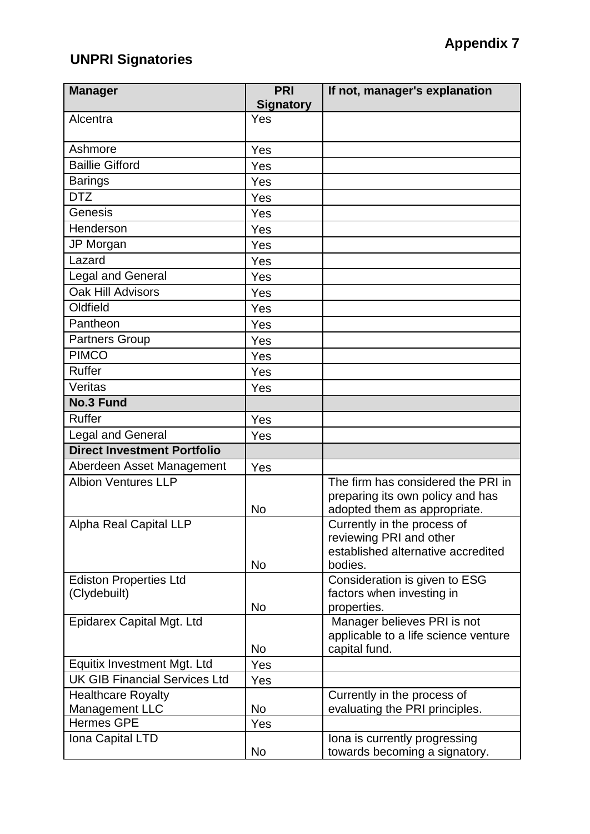# **UNPRI Signatories**

| <b>Manager</b>                       | <b>PRI</b><br><b>Signatory</b> | If not, manager's explanation                                       |
|--------------------------------------|--------------------------------|---------------------------------------------------------------------|
| Alcentra                             | Yes                            |                                                                     |
|                                      |                                |                                                                     |
| Ashmore                              | Yes                            |                                                                     |
| <b>Baillie Gifford</b>               | Yes                            |                                                                     |
| <b>Barings</b>                       | Yes                            |                                                                     |
| <b>DTZ</b>                           | Yes                            |                                                                     |
| Genesis                              | Yes                            |                                                                     |
| Henderson                            | Yes                            |                                                                     |
| JP Morgan                            | Yes                            |                                                                     |
| Lazard                               | Yes                            |                                                                     |
| Legal and General                    | Yes                            |                                                                     |
| Oak Hill Advisors                    | Yes                            |                                                                     |
| Oldfield                             | Yes                            |                                                                     |
| Pantheon                             | Yes                            |                                                                     |
| <b>Partners Group</b>                | Yes                            |                                                                     |
| <b>PIMCO</b>                         | Yes                            |                                                                     |
| <b>Ruffer</b>                        | Yes                            |                                                                     |
| Veritas                              | Yes                            |                                                                     |
| <b>No.3 Fund</b>                     |                                |                                                                     |
| <b>Ruffer</b>                        | Yes                            |                                                                     |
| <b>Legal and General</b>             | Yes                            |                                                                     |
| <b>Direct Investment Portfolio</b>   |                                |                                                                     |
| Aberdeen Asset Management            | Yes                            |                                                                     |
| <b>Albion Ventures LLP</b>           |                                | The firm has considered the PRI in                                  |
|                                      |                                | preparing its own policy and has                                    |
| Alpha Real Capital LLP               | <b>No</b>                      | adopted them as appropriate.<br>Currently in the process of         |
|                                      |                                | reviewing PRI and other                                             |
|                                      |                                | established alternative accredited                                  |
|                                      | No                             | bodies.                                                             |
| <b>Ediston Properties Ltd</b>        |                                | Consideration is given to ESG                                       |
| (Clydebuilt)                         |                                | factors when investing in                                           |
|                                      | No                             | properties.                                                         |
| Epidarex Capital Mgt. Ltd            |                                | Manager believes PRI is not<br>applicable to a life science venture |
|                                      | No                             | capital fund.                                                       |
| Equitix Investment Mgt. Ltd          | Yes                            |                                                                     |
| <b>UK GIB Financial Services Ltd</b> | Yes                            |                                                                     |
| <b>Healthcare Royalty</b>            |                                | Currently in the process of                                         |
| Management LLC                       | No                             | evaluating the PRI principles.                                      |
| <b>Hermes GPE</b>                    | Yes                            |                                                                     |
| Iona Capital LTD                     |                                | Iona is currently progressing                                       |
|                                      | No                             | towards becoming a signatory.                                       |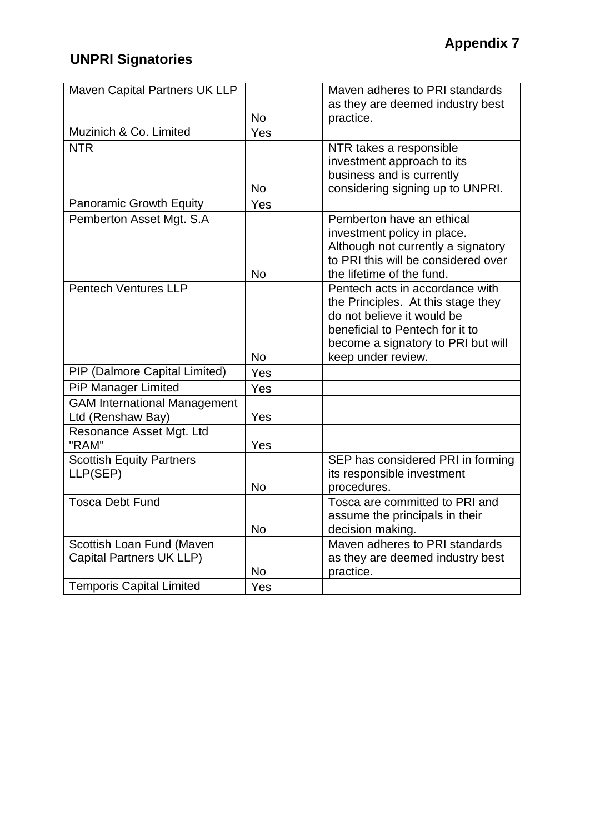# **UNPRI Signatories**

| Maven Capital Partners UK LLP       |           | Maven adheres to PRI standards      |
|-------------------------------------|-----------|-------------------------------------|
|                                     |           | as they are deemed industry best    |
|                                     | No        | practice.                           |
| Muzinich & Co. Limited              | Yes       |                                     |
| <b>NTR</b>                          |           | NTR takes a responsible             |
|                                     |           | investment approach to its          |
|                                     |           | business and is currently           |
|                                     | <b>No</b> | considering signing up to UNPRI.    |
| <b>Panoramic Growth Equity</b>      | Yes       |                                     |
| Pemberton Asset Mgt. S.A            |           | Pemberton have an ethical           |
|                                     |           | investment policy in place.         |
|                                     |           | Although not currently a signatory  |
|                                     |           | to PRI this will be considered over |
|                                     | <b>No</b> | the lifetime of the fund.           |
| <b>Pentech Ventures LLP</b>         |           | Pentech acts in accordance with     |
|                                     |           | the Principles. At this stage they  |
|                                     |           | do not believe it would be          |
|                                     |           | beneficial to Pentech for it to     |
|                                     |           | become a signatory to PRI but will  |
|                                     | <b>No</b> | keep under review.                  |
| PIP (Dalmore Capital Limited)       | Yes       |                                     |
| <b>PiP Manager Limited</b>          | Yes       |                                     |
| <b>GAM International Management</b> |           |                                     |
| Ltd (Renshaw Bay)                   | Yes       |                                     |
| Resonance Asset Mgt. Ltd            |           |                                     |
| "RAM"                               | Yes       |                                     |
| Scottish Equity Partners            |           | SEP has considered PRI in forming   |
| LLP(SEP)                            |           | its responsible investment          |
|                                     | <b>No</b> | procedures.                         |
| <b>Tosca Debt Fund</b>              |           | Tosca are committed to PRI and      |
|                                     |           | assume the principals in their      |
|                                     | <b>No</b> | decision making.                    |
| Scottish Loan Fund (Maven           |           | Maven adheres to PRI standards      |
| Capital Partners UK LLP)            |           | as they are deemed industry best    |
|                                     |           |                                     |
| <b>Temporis Capital Limited</b>     | No        | practice.                           |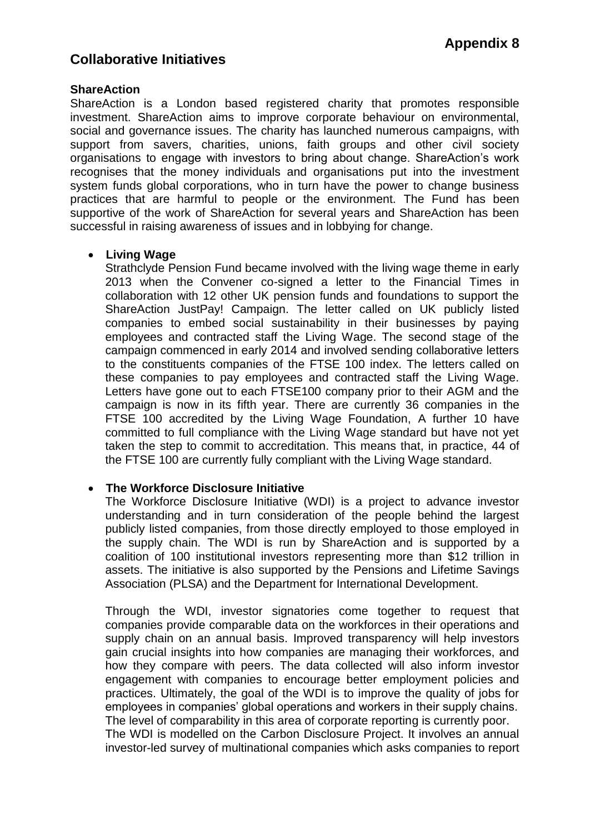## **ShareAction**

ShareAction is a London based registered charity that promotes responsible investment. ShareAction aims to improve corporate behaviour on environmental, social and governance issues. The charity has launched numerous campaigns, with support from savers, charities, unions, faith groups and other civil society organisations to engage with investors to bring about change. ShareAction's work recognises that the money individuals and organisations put into the investment system funds global corporations, who in turn have the power to change business practices that are harmful to people or the environment. The Fund has been supportive of the work of ShareAction for several years and ShareAction has been successful in raising awareness of issues and in lobbying for change.

## **Living Wage**

Strathclyde Pension Fund became involved with the living wage theme in early 2013 when the Convener co-signed a letter to the Financial Times in collaboration with 12 other UK pension funds and foundations to support the ShareAction JustPay! Campaign. The letter called on UK publicly listed companies to embed social sustainability in their businesses by paying employees and contracted staff the Living Wage. The second stage of the campaign commenced in early 2014 and involved sending collaborative letters to the constituents companies of the FTSE 100 index. The letters called on these companies to pay employees and contracted staff the Living Wage. Letters have gone out to each FTSE100 company prior to their AGM and the campaign is now in its fifth year. There are currently 36 companies in the FTSE 100 accredited by the Living Wage Foundation, A further 10 have committed to full compliance with the Living Wage standard but have not yet taken the step to commit to accreditation. This means that, in practice, 44 of the FTSE 100 are currently fully compliant with the Living Wage standard.

## **The Workforce Disclosure Initiative**

The Workforce Disclosure Initiative (WDI) is a project to advance investor understanding and in turn consideration of the people behind the largest publicly listed companies, from those directly employed to those employed in the supply chain. The WDI is run by ShareAction and is supported by a coalition of 100 institutional investors representing more than \$12 trillion in assets. The initiative is also supported by the Pensions and Lifetime Savings Association (PLSA) and the Department for International Development.

Through the WDI, investor signatories come together to request that companies provide comparable data on the workforces in their operations and supply chain on an annual basis. Improved transparency will help investors gain crucial insights into how companies are managing their workforces, and how they compare with peers. The data collected will also inform investor engagement with companies to encourage better employment policies and practices. Ultimately, the goal of the WDI is to improve the quality of jobs for employees in companies' global operations and workers in their supply chains. The level of comparability in this area of corporate reporting is currently poor. The WDI is modelled on the Carbon Disclosure Project. It involves an annual

investor-led survey of multinational companies which asks companies to report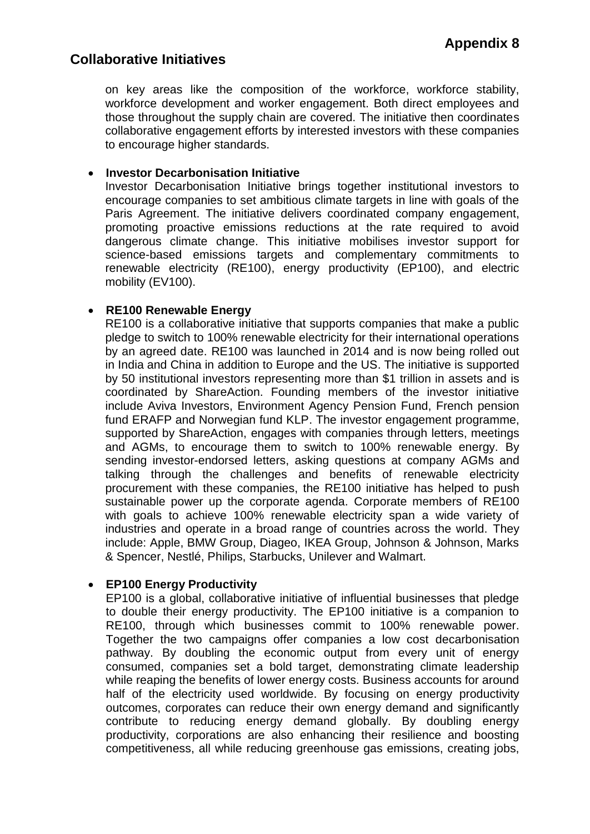on key areas like the composition of the workforce, workforce stability, workforce development and worker engagement. Both direct employees and those throughout the supply chain are covered. The initiative then coordinates collaborative engagement efforts by interested investors with these companies to encourage higher standards.

## **Investor Decarbonisation Initiative**

Investor Decarbonisation Initiative brings together institutional investors to encourage companies to set ambitious climate targets in line with goals of the Paris Agreement. The initiative delivers coordinated company engagement, promoting proactive emissions reductions at the rate required to avoid dangerous climate change. This initiative mobilises investor support for science-based emissions targets and complementary commitments to renewable electricity (RE100), energy productivity (EP100), and electric mobility (EV100).

## **RE100 Renewable Energy**

RE100 is a collaborative initiative that supports companies that make a public pledge to switch to 100% renewable electricity for their international operations by an agreed date. RE100 was launched in 2014 and is now being rolled out in India and China in addition to Europe and the US. The initiative is supported by 50 institutional investors representing more than \$1 trillion in assets and is coordinated by ShareAction. Founding members of the investor initiative include Aviva Investors, Environment Agency Pension Fund, French pension fund ERAFP and Norwegian fund KLP. The investor engagement programme, supported by ShareAction, engages with companies through letters, meetings and AGMs, to encourage them to switch to 100% renewable energy. By sending investor-endorsed letters, asking questions at company AGMs and talking through the challenges and benefits of renewable electricity procurement with these companies, the RE100 initiative has helped to push sustainable power up the corporate agenda. Corporate members of RE100 with goals to achieve 100% renewable electricity span a wide variety of industries and operate in a broad range of countries across the world. They include: Apple, BMW Group, Diageo, IKEA Group, Johnson & Johnson, Marks & Spencer, Nestlé, Philips, Starbucks, Unilever and Walmart.

## **EP100 Energy Productivity**

EP100 is a global, collaborative initiative of influential businesses that pledge to double their energy productivity. The EP100 initiative is a companion to RE100, through which businesses commit to 100% renewable power. Together the two campaigns offer companies a low cost decarbonisation pathway. By doubling the economic output from every unit of energy consumed, companies set a bold target, demonstrating climate leadership while reaping the benefits of lower energy costs. Business accounts for around half of the electricity used worldwide. By focusing on energy productivity outcomes, corporates can reduce their own energy demand and significantly contribute to reducing energy demand globally. By doubling energy productivity, corporations are also enhancing their resilience and boosting competitiveness, all while reducing greenhouse gas emissions, creating jobs,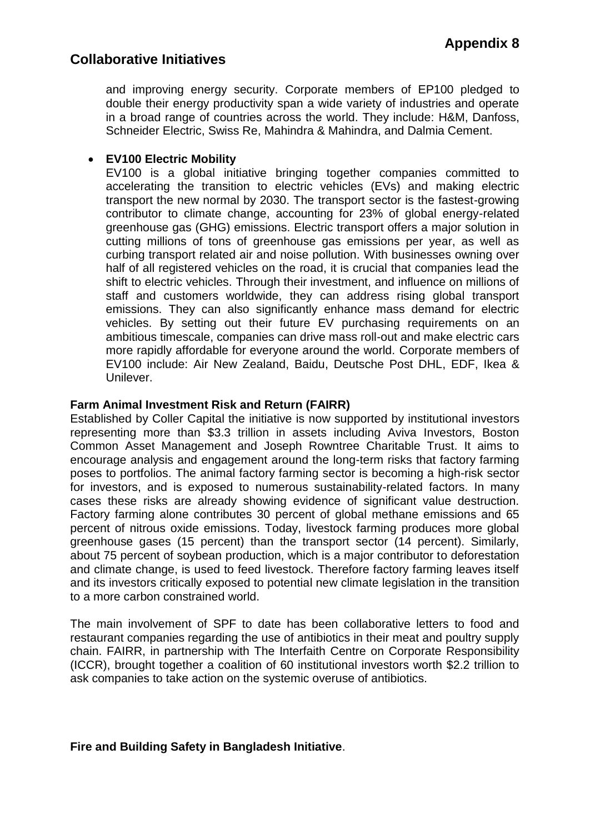and improving energy security. Corporate members of EP100 pledged to double their energy productivity span a wide variety of industries and operate in a broad range of countries across the world. They include: H&M, Danfoss, Schneider Electric, Swiss Re, Mahindra & Mahindra, and Dalmia Cement.

## **EV100 Electric Mobility**

EV100 is a global initiative bringing together companies committed to accelerating the transition to electric vehicles (EVs) and making electric transport the new normal by 2030. The transport sector is the fastest-growing contributor to climate change, accounting for 23% of global energy-related greenhouse gas (GHG) emissions. Electric transport offers a major solution in cutting millions of tons of greenhouse gas emissions per year, as well as curbing transport related air and noise pollution. With businesses owning over half of all registered vehicles on the road, it is crucial that companies lead the shift to electric vehicles. Through their investment, and influence on millions of staff and customers worldwide, they can address rising global transport emissions. They can also significantly enhance mass demand for electric vehicles. By setting out their future EV purchasing requirements on an ambitious timescale, companies can drive mass roll-out and make electric cars more rapidly affordable for everyone around the world. Corporate members of EV100 include: Air New Zealand, Baidu, Deutsche Post DHL, EDF, Ikea & Unilever.

## **Farm Animal Investment Risk and Return (FAIRR)**

Established by Coller Capital the initiative is now supported by institutional investors representing more than \$3.3 trillion in assets including Aviva Investors, Boston Common Asset Management and Joseph Rowntree Charitable Trust. It aims to encourage analysis and engagement around the long-term risks that factory farming poses to portfolios. The animal factory farming sector is becoming a high-risk sector for investors, and is exposed to numerous sustainability-related factors. In many cases these risks are already showing evidence of significant value destruction. Factory farming alone contributes 30 percent of global methane emissions and 65 percent of nitrous oxide emissions. Today, livestock farming produces more global greenhouse gases (15 percent) than the transport sector (14 percent). Similarly, about 75 percent of soybean production, which is a major contributor to deforestation and climate change, is used to feed livestock. Therefore factory farming leaves itself and its investors critically exposed to potential new climate legislation in the transition to a more carbon constrained world.

The main involvement of SPF to date has been collaborative letters to food and restaurant companies regarding the use of antibiotics in their meat and poultry supply chain. FAIRR, in partnership with The Interfaith Centre on Corporate Responsibility (ICCR), brought together a coalition of 60 institutional investors worth \$2.2 trillion to ask companies to take action on the systemic overuse of antibiotics.

## **Fire and Building Safety in Bangladesh Initiative**.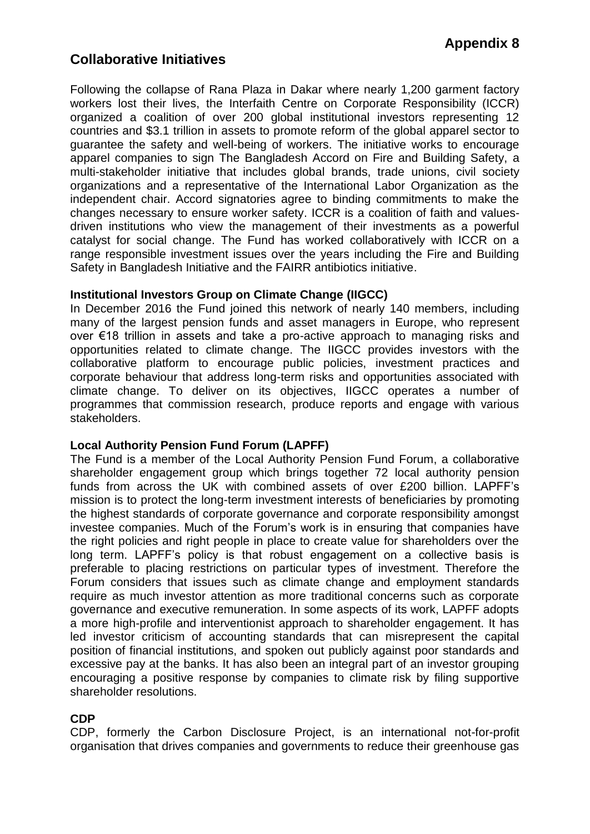Following the collapse of Rana Plaza in Dakar where nearly 1,200 garment factory workers lost their lives, the Interfaith Centre on Corporate Responsibility (ICCR) organized a coalition of over 200 global institutional investors representing 12 countries and \$3.1 trillion in assets to promote reform of the global apparel sector to guarantee the safety and well-being of workers. The initiative works to encourage apparel companies to sign The Bangladesh Accord on Fire and Building Safety, a multi-stakeholder initiative that includes global brands, trade unions, civil society organizations and a representative of the International Labor Organization as the independent chair. Accord signatories agree to binding commitments to make the changes necessary to ensure worker safety. ICCR is a coalition of faith and valuesdriven institutions who view the management of their investments as a powerful catalyst for social change. The Fund has worked collaboratively with ICCR on a range responsible investment issues over the years including the Fire and Building Safety in Bangladesh Initiative and the FAIRR antibiotics initiative.

## **Institutional Investors Group on Climate Change (IIGCC)**

In December 2016 the Fund joined this network of nearly 140 members, including many of the largest pension funds and asset managers in Europe, who represent over €18 trillion in assets and take a pro-active approach to managing risks and opportunities related to climate change. The IIGCC provides investors with the collaborative platform to encourage public policies, investment practices and corporate behaviour that address long-term risks and opportunities associated with climate change. To deliver on its objectives, IIGCC operates a number of programmes that commission research, produce reports and engage with various stakeholders.

## **Local Authority Pension Fund Forum (LAPFF)**

The Fund is a member of the Local Authority Pension Fund Forum, a collaborative shareholder engagement group which brings together 72 local authority pension funds from across the UK with combined assets of over £200 billion. LAPFF's mission is to protect the long-term investment interests of beneficiaries by promoting the highest standards of corporate governance and corporate responsibility amongst investee companies. Much of the Forum's work is in ensuring that companies have the right policies and right people in place to create value for shareholders over the long term. LAPFF's policy is that robust engagement on a collective basis is preferable to placing restrictions on particular types of investment. Therefore the Forum considers that issues such as climate change and employment standards require as much investor attention as more traditional concerns such as corporate governance and executive remuneration. In some aspects of its work, LAPFF adopts a more high-profile and interventionist approach to shareholder engagement. It has led investor criticism of accounting standards that can misrepresent the capital position of financial institutions, and spoken out publicly against poor standards and excessive pay at the banks. It has also been an integral part of an investor grouping encouraging a positive response by companies to climate risk by filing supportive shareholder resolutions.

## **CDP**

CDP, formerly the Carbon Disclosure Project, is an international not-for-profit organisation that drives companies and governments to reduce their greenhouse gas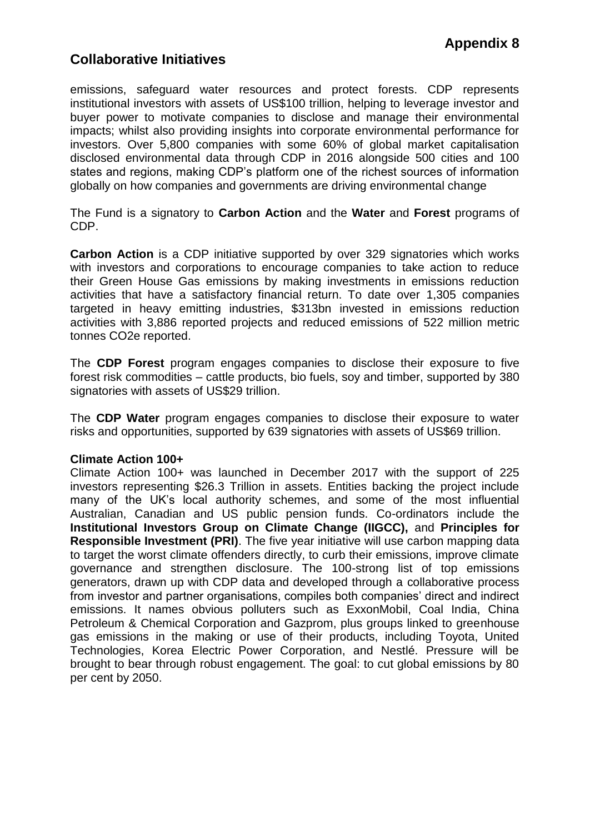emissions, safeguard water resources and protect forests. CDP represents institutional investors with assets of US\$100 trillion, helping to leverage investor and buyer power to motivate companies to disclose and manage their environmental impacts; whilst also providing insights into corporate environmental performance for investors. Over 5,800 companies with some 60% of global market capitalisation disclosed environmental data through CDP in 2016 alongside 500 cities and 100 states and regions, making CDP's platform one of the richest sources of information globally on how companies and governments are driving environmental change

The Fund is a signatory to **Carbon Action** and the **Water** and **Forest** programs of CDP.

**Carbon Action** is a CDP initiative supported by over 329 signatories which works with investors and corporations to encourage companies to take action to reduce their Green House Gas emissions by making investments in emissions reduction activities that have a satisfactory financial return. To date over 1,305 companies targeted in heavy emitting industries, \$313bn invested in emissions reduction activities with 3,886 reported projects and reduced emissions of 522 million metric tonnes CO2e reported.

The **CDP Forest** program engages companies to disclose their exposure to five forest risk commodities – cattle products, bio fuels, soy and timber, supported by 380 signatories with assets of US\$29 trillion.

The **CDP Water** program engages companies to disclose their exposure to water risks and opportunities, supported by 639 signatories with assets of US\$69 trillion.

## **Climate Action 100+**

Climate Action 100+ was launched in December 2017 with the support of 225 investors representing \$26.3 Trillion in assets. Entities backing the project include many of the UK's local authority schemes, and some of the most influential Australian, Canadian and US public pension funds. Co-ordinators include the **Institutional Investors Group on Climate Change (IIGCC),** and **Principles for Responsible Investment (PRI)**. The five year initiative will use carbon mapping data to target the worst climate offenders directly, to curb their emissions, improve climate governance and strengthen disclosure. The 100-strong list of top emissions generators, drawn up with CDP data and developed through a collaborative process from investor and partner organisations, compiles both companies' direct and indirect emissions. It names obvious polluters such as ExxonMobil, Coal India, China Petroleum & Chemical Corporation and Gazprom, plus groups linked to greenhouse gas emissions in the making or use of their products, including Toyota, United Technologies, Korea Electric Power Corporation, and Nestlé. Pressure will be brought to bear through robust engagement. The goal: to cut global emissions by 80 per cent by 2050.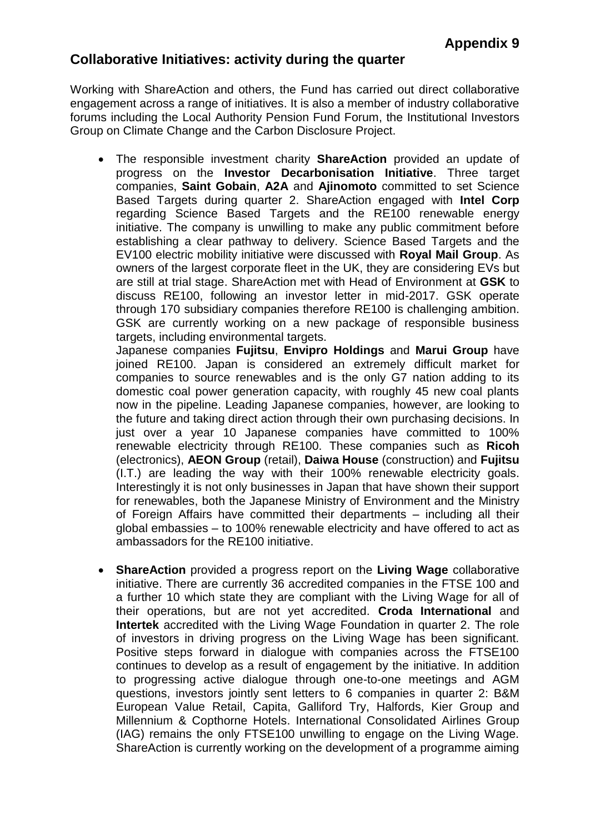# **Collaborative Initiatives: activity during the quarter**

Working with ShareAction and others, the Fund has carried out direct collaborative engagement across a range of initiatives. It is also a member of industry collaborative forums including the Local Authority Pension Fund Forum, the Institutional Investors Group on Climate Change and the Carbon Disclosure Project.

 The responsible investment charity **ShareAction** provided an update of progress on the **Investor Decarbonisation Initiative**. Three target companies, **Saint Gobain**, **A2A** and **Ajinomoto** committed to set Science Based Targets during quarter 2. ShareAction engaged with **Intel Corp** regarding Science Based Targets and the RE100 renewable energy initiative. The company is unwilling to make any public commitment before establishing a clear pathway to delivery. Science Based Targets and the EV100 electric mobility initiative were discussed with **Royal Mail Group**. As owners of the largest corporate fleet in the UK, they are considering EVs but are still at trial stage. ShareAction met with Head of Environment at **GSK** to discuss RE100, following an investor letter in mid-2017. GSK operate through 170 subsidiary companies therefore RE100 is challenging ambition. GSK are currently working on a new package of responsible business targets, including environmental targets.

Japanese companies **Fujitsu**, **Envipro Holdings** and **Marui Group** have joined RE100. Japan is considered an extremely difficult market for companies to source renewables and is the only G7 nation adding to its domestic coal power generation capacity, with roughly 45 new coal plants now in the pipeline. Leading Japanese companies, however, are looking to the future and taking direct action through their own purchasing decisions. In just over a year 10 Japanese companies have committed to 100% renewable electricity through RE100. These companies such as **Ricoh** (electronics), **AEON Group** (retail), **Daiwa House** (construction) and **Fujitsu** (I.T.) are leading the way with their 100% renewable electricity goals. Interestingly it is not only businesses in Japan that have shown their support for renewables, both the Japanese Ministry of Environment and the Ministry of Foreign Affairs have committed their departments – including all their global embassies – to 100% renewable electricity and have offered to act as ambassadors for the RE100 initiative.

 **ShareAction** provided a progress report on the **Living Wage** collaborative initiative. There are currently 36 accredited companies in the FTSE 100 and a further 10 which state they are compliant with the Living Wage for all of their operations, but are not yet accredited. **Croda International** and **Intertek** accredited with the Living Wage Foundation in quarter 2. The role of investors in driving progress on the Living Wage has been significant. Positive steps forward in dialogue with companies across the FTSE100 continues to develop as a result of engagement by the initiative. In addition to progressing active dialogue through one-to-one meetings and AGM questions, investors jointly sent letters to 6 companies in quarter 2: B&M European Value Retail, Capita, Galliford Try, Halfords, Kier Group and Millennium & Copthorne Hotels. International Consolidated Airlines Group (IAG) remains the only FTSE100 unwilling to engage on the Living Wage. ShareAction is currently working on the development of a programme aiming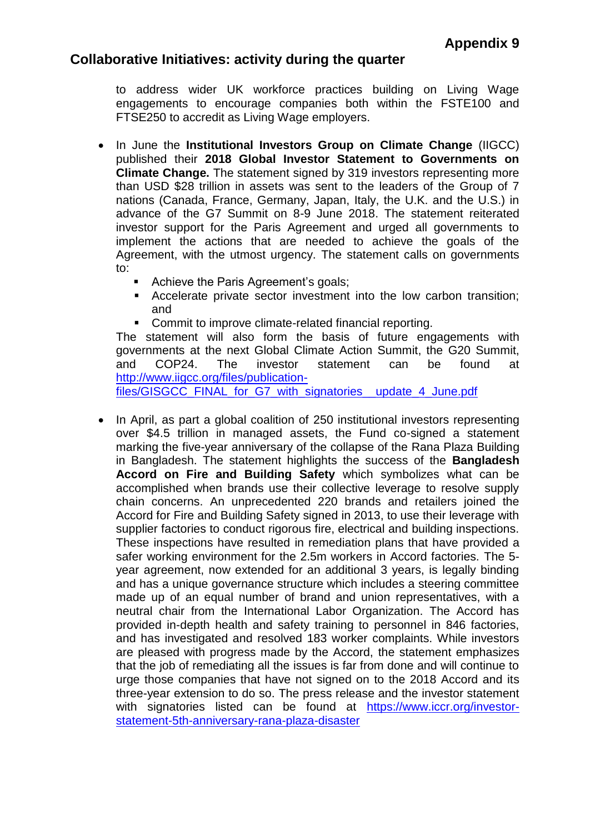## **Collaborative Initiatives: activity during the quarter**

to address wider UK workforce practices building on Living Wage engagements to encourage companies both within the FSTE100 and FTSE250 to accredit as Living Wage employers.

- In June the **Institutional Investors Group on Climate Change** (IIGCC) published their **2018 Global Investor Statement to Governments on Climate Change.** The statement signed by 319 investors representing more than USD \$28 trillion in assets was sent to the leaders of the Group of 7 nations (Canada, France, Germany, Japan, Italy, the U.K. and the U.S.) in advance of the G7 Summit on 8-9 June 2018. The statement reiterated investor support for the Paris Agreement and urged all governments to implement the actions that are needed to achieve the goals of the Agreement, with the utmost urgency. The statement calls on governments to:
	- Achieve the Paris Agreement's goals;
	- Accelerate private sector investment into the low carbon transition; and
	- **Commit to improve climate-related financial reporting.**

The statement will also form the basis of future engagements with governments at the next Global Climate Action Summit, the G20 Summit, and COP24. The investor statement can be found at [http://www.iigcc.org/files/publication-](http://www.iigcc.org/files/publication-files/GISGCC_FINAL_for_G7_with_signatories__update_4_June.pdf)

[files/GISGCC\\_FINAL\\_for\\_G7\\_with\\_signatories\\_\\_update\\_4\\_June.pdf](http://www.iigcc.org/files/publication-files/GISGCC_FINAL_for_G7_with_signatories__update_4_June.pdf)

• In April, as part a global coalition of 250 institutional investors representing over \$4.5 trillion in managed assets, the Fund co-signed a statement marking the five-year anniversary of the collapse of the Rana Plaza Building in Bangladesh. The statement highlights the success of the **Bangladesh Accord on Fire and Building Safety** which symbolizes what can be accomplished when brands use their collective leverage to resolve supply chain concerns. An unprecedented 220 brands and retailers joined the Accord for Fire and Building Safety signed in 2013, to use their leverage with supplier factories to conduct rigorous fire, electrical and building inspections. These inspections have resulted in remediation plans that have provided a safer working environment for the 2.5m workers in Accord factories. The 5 year agreement, now extended for an additional 3 years, is legally binding and has a unique governance structure which includes a steering committee made up of an equal number of brand and union representatives, with a neutral chair from the International Labor Organization. The Accord has provided in-depth health and safety training to personnel in 846 factories, and has investigated and resolved 183 worker complaints. While investors are pleased with progress made by the Accord, the statement emphasizes that the job of remediating all the issues is far from done and will continue to urge those companies that have not signed on to the 2018 Accord and its three-year extension to do so. The press release and the investor statement with signatories listed can be found at [https://www.iccr.org/investor](https://www.iccr.org/investor-statement-5th-anniversary-rana-plaza-disaster)[statement-5th-anniversary-rana-plaza-disaster](https://www.iccr.org/investor-statement-5th-anniversary-rana-plaza-disaster)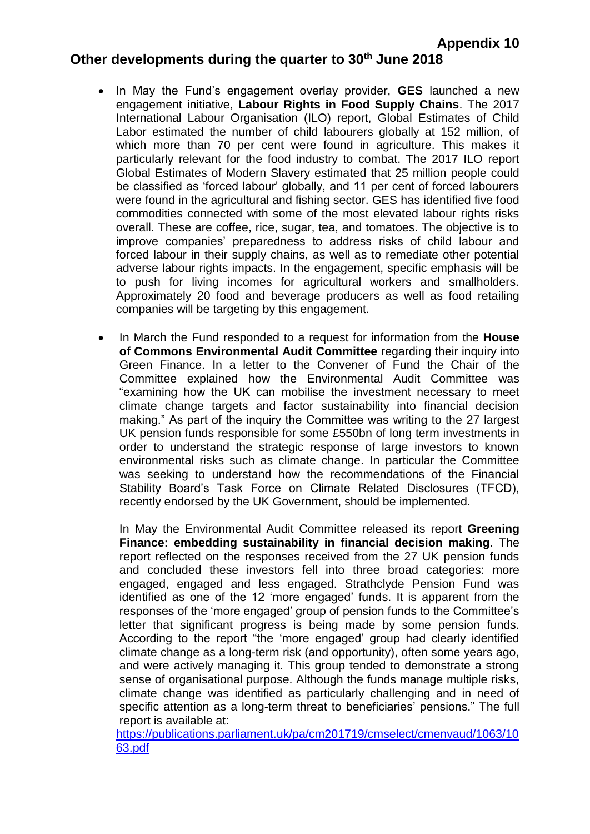# **Other developments during the quarter to 30th June 2018**

- In May the Fund's engagement overlay provider, **GES** launched a new engagement initiative, **Labour Rights in Food Supply Chains**. The 2017 International Labour Organisation (ILO) report, Global Estimates of Child Labor estimated the number of child labourers globally at 152 million, of which more than 70 per cent were found in agriculture. This makes it particularly relevant for the food industry to combat. The 2017 ILO report Global Estimates of Modern Slavery estimated that 25 million people could be classified as 'forced labour' globally, and 11 per cent of forced labourers were found in the agricultural and fishing sector. GES has identified five food commodities connected with some of the most elevated labour rights risks overall. These are coffee, rice, sugar, tea, and tomatoes. The objective is to improve companies' preparedness to address risks of child labour and forced labour in their supply chains, as well as to remediate other potential adverse labour rights impacts. In the engagement, specific emphasis will be to push for living incomes for agricultural workers and smallholders. Approximately 20 food and beverage producers as well as food retailing companies will be targeting by this engagement.
- In March the Fund responded to a request for information from the **House of Commons Environmental Audit Committee** regarding their inquiry into Green Finance. In a letter to the Convener of Fund the Chair of the Committee explained how the Environmental Audit Committee was "examining how the UK can mobilise the investment necessary to meet climate change targets and factor sustainability into financial decision making." As part of the inquiry the Committee was writing to the 27 largest UK pension funds responsible for some £550bn of long term investments in order to understand the strategic response of large investors to known environmental risks such as climate change. In particular the Committee was seeking to understand how the recommendations of the Financial Stability Board's Task Force on Climate Related Disclosures (TFCD), recently endorsed by the UK Government, should be implemented.

In May the Environmental Audit Committee released its report **Greening Finance: embedding sustainability in financial decision making**. The report reflected on the responses received from the 27 UK pension funds and concluded these investors fell into three broad categories: more engaged, engaged and less engaged. Strathclyde Pension Fund was identified as one of the 12 'more engaged' funds. It is apparent from the responses of the 'more engaged' group of pension funds to the Committee's letter that significant progress is being made by some pension funds. According to the report "the 'more engaged' group had clearly identified climate change as a long-term risk (and opportunity), often some years ago, and were actively managing it. This group tended to demonstrate a strong sense of organisational purpose. Although the funds manage multiple risks, climate change was identified as particularly challenging and in need of specific attention as a long-term threat to beneficiaries' pensions." The full report is available at:

[https://publications.parliament.uk/pa/cm201719/cmselect/cmenvaud/1063/10](https://publications.parliament.uk/pa/cm201719/cmselect/cmenvaud/1063/1063.pdf) [63.pdf](https://publications.parliament.uk/pa/cm201719/cmselect/cmenvaud/1063/1063.pdf)